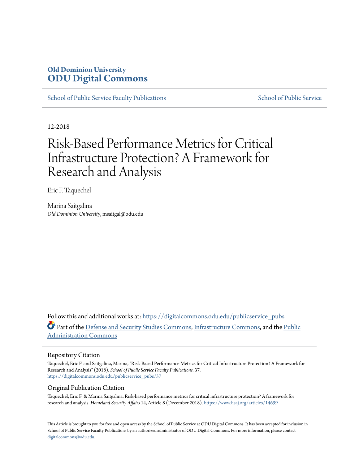#### **Old Dominion University [ODU Digital Commons](https://digitalcommons.odu.edu?utm_source=digitalcommons.odu.edu%2Fpublicservice_pubs%2F37&utm_medium=PDF&utm_campaign=PDFCoverPages)**

[School of Public Service Faculty Publications](https://digitalcommons.odu.edu/publicservice_pubs?utm_source=digitalcommons.odu.edu%2Fpublicservice_pubs%2F37&utm_medium=PDF&utm_campaign=PDFCoverPages) [School of Public Service](https://digitalcommons.odu.edu/publicservice?utm_source=digitalcommons.odu.edu%2Fpublicservice_pubs%2F37&utm_medium=PDF&utm_campaign=PDFCoverPages)

12-2018

#### Risk-Based Performance Metrics for Critical Infrastructure Protection? A Framework for Research and Analysis

Eric F. Taquechel

Marina Saitgalina *Old Dominion University*, msaitgal@odu.edu

Follow this and additional works at: [https://digitalcommons.odu.edu/publicservice\\_pubs](https://digitalcommons.odu.edu/publicservice_pubs?utm_source=digitalcommons.odu.edu%2Fpublicservice_pubs%2F37&utm_medium=PDF&utm_campaign=PDFCoverPages) Part of the [Defense and Security Studies Commons](http://network.bepress.com/hgg/discipline/394?utm_source=digitalcommons.odu.edu%2Fpublicservice_pubs%2F37&utm_medium=PDF&utm_campaign=PDFCoverPages), [Infrastructure Commons](http://network.bepress.com/hgg/discipline/1066?utm_source=digitalcommons.odu.edu%2Fpublicservice_pubs%2F37&utm_medium=PDF&utm_campaign=PDFCoverPages), and the [Public](http://network.bepress.com/hgg/discipline/398?utm_source=digitalcommons.odu.edu%2Fpublicservice_pubs%2F37&utm_medium=PDF&utm_campaign=PDFCoverPages) [Administration Commons](http://network.bepress.com/hgg/discipline/398?utm_source=digitalcommons.odu.edu%2Fpublicservice_pubs%2F37&utm_medium=PDF&utm_campaign=PDFCoverPages)

#### Repository Citation

Taquechel, Eric F. and Saitgalina, Marina, "Risk-Based Performance Metrics for Critical Infrastructure Protection? A Framework for Research and Analysis" (2018). *School of Public Service Faculty Publications*. 37. [https://digitalcommons.odu.edu/publicservice\\_pubs/37](https://digitalcommons.odu.edu/publicservice_pubs/37?utm_source=digitalcommons.odu.edu%2Fpublicservice_pubs%2F37&utm_medium=PDF&utm_campaign=PDFCoverPages)

#### Original Publication Citation

Taquechel, Eric F. & Marina Saitgalina. Risk-based performance metrics for critical infrastructure protection? A framework for research and analysis. *Homeland Security Affairs* 14, Article 8 (December 2018). <https://www.hsaj.org/articles/14699>

This Article is brought to you for free and open access by the School of Public Service at ODU Digital Commons. It has been accepted for inclusion in School of Public Service Faculty Publications by an authorized administrator of ODU Digital Commons. For more information, please contact [digitalcommons@odu.edu.](mailto:digitalcommons@odu.edu)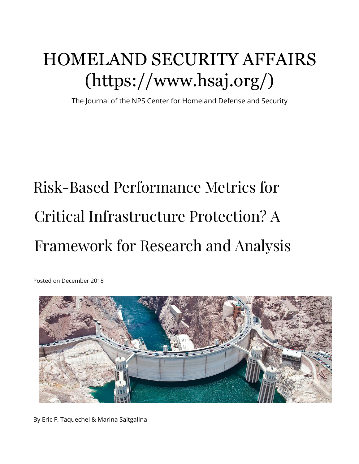# [HOMELAND SECURITY AFFAIRS](https://www.hsaj.org/) (https://www.hsaj.org/)

The Journal of the NPS Center for Homeland Defense and Security

# Risk-Based Perfor[ma](https://www.facebook.com/Center-for-Homeland-Defense-and-Security-150094791741872/)nce Metrics for Critical Infrastructure Protection? A Framework for Research [an](https://www.youtube.com/user/npsCHDS)d Analysis

Posted on December 2018



By Eric F. Taquechel & Marina Saitgalina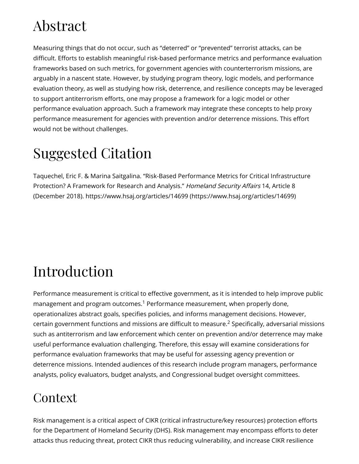## Abstract

Measuring things that do not occur, such as "deterred" or "prevented" terrorist attacks, can be difficult. Efforts to establish meaningful risk-based performance metrics and performance evaluation frameworks based on such metrics, for government agencies with counterterrorism missions, are arguably in a nascent state. However, by studying program theory, logic models, and performance evaluation theory, as well as studying how risk, deterrence, and resilience concepts may be leveraged to support antiterrorism efforts, one may propose a framework for a logic model or other performance evaluation approach. Such a framework may integrate these concepts to help proxy performance measurement for agencies with prevention and/or deterrence missions. This effort would not be without challenges.

## Suggested Citation

Taquechel, Eric F. & Marina Saitgalina. "Risk-Based Performance Metrics for Critical Infrastructure Protection? A Framework for Research and Analysis." Homeland Security Affairs 14, Article 8 (December 2018). [https://www.hsaj.org/articles/14699 \(https://www.hsaj.org/articles/14699\)](https://www.hsaj.org/articles/14699)

# Introduction

<span id="page-2-1"></span><span id="page-2-0"></span>Performance measurement is critical to effective government, as it is intended to help improve public management and program outcomes. $^1$  Performance measurement, when properly done, operationalizes abstract goals, specifies policies, and informs management decisions. However, certaingovernment functions and missions are difficult to measure. $^2$  Specifically, adversarial missions such as antiterrorism and law enforcement which center on prevention and/or deterrence may make useful performance evaluation challenging. Therefore, this essay will examine considerations for performance evaluation frameworks that may be useful for assessing agency prevention or deterrence missions. Intended audiences of this research include program managers, performance analysts, policy evaluators, budget analysts, and Congressional budget oversight committees.

#### **Context**

Risk management is a critical aspect of CIKR (critical infrastructure/key resources) protection efforts for the Department of Homeland Security (DHS). Risk management may encompass efforts to deter attacks thus reducing threat, protect CIKR thus reducing vulnerability, and increase CIKR resilience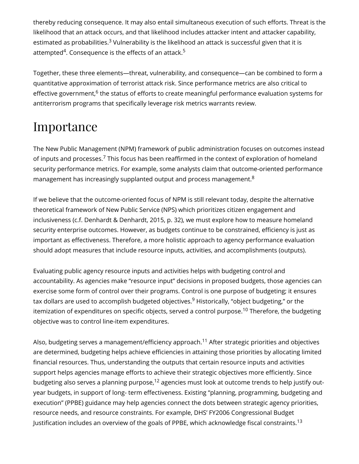<span id="page-3-0"></span>thereby reducing consequence. It may also entail simultaneous execution of such efforts. Threat is the likelihood that an attack occurs, and that likelihood includes attacker intent and attacker capability, estimated as probabilities. $3$  Vulnerability is the likelihood an attack is successful given that it is attempted $4$ . Consequence is the effects of an attack. $^5$  $^5$ 

<span id="page-3-3"></span><span id="page-3-2"></span><span id="page-3-1"></span>Together, these three elements—threat, vulnerability, and consequence—can be combined to form a quantitative approximation of terrorist attack risk. Since performance metrics are also critical to effective government, $^6$  $^6$  the status of efforts to create meaningful performance evaluation systems for antiterrorism programs that specifically leverage risk metrics warrants review.

#### Importance

<span id="page-3-4"></span>The New Public Management (NPM) framework of public administration focuses on outcomes instead of inputs and processes.<sup>[7](#page-34-1)</sup> This focus has been reaffirmed in the context of exploration of homeland security performance metrics. For example, some analysts claim that outcome-oriented performance management has increasingly supplanted output and process management.<sup>[8](#page-34-2)</sup>

<span id="page-3-5"></span>If we believe that the outcome-oriented focus of NPM is still relevant today, despite the alternative theoretical framework of New Public Service (NPS) which prioritizes citizen engagement and inclusiveness (c.f. Denhardt & Denhardt, 2015, p. 32), we must explore how to measure homeland security enterprise outcomes. However, as budgets continue to be constrained, efficiency is just as important as effectiveness. Therefore, a more holistic approach to agency performance evaluation should adopt measures that include resource inputs, activities, and accomplishments (outputs).

<span id="page-3-6"></span>Evaluating public agency resource inputs and activities helps with budgeting control and accountability. As agencies make "resource input" decisions in proposed budgets, those agencies can exercise some form of control over their programs. Control is one purpose of budgeting; it ensures tax dollars are used to accomplish budgeted objectives. $^9$  $^9$  Historically, "object budgeting," or the itemization of expenditures on specific objects, served a control purpose. $^\mathrm{10}$  $^\mathrm{10}$  $^\mathrm{10}$  Therefore, the budgeting objective was to control line-item expenditures.

<span id="page-3-10"></span><span id="page-3-9"></span><span id="page-3-8"></span><span id="page-3-7"></span>Also, budgeting serves a management/efficiency approach. $^{11}$  $^{11}$  $^{11}$  After strategic priorities and objectives are determined, budgeting helps achieve efficiencies in attaining those priorities by allocating limited financial resources. Thus, understanding the outputs that certain resource inputs and activities support helps agencies manage efforts to achieve their strategic objectives more efficiently. Since budgeting also serves a planning purpose, $^{\text{12}}$  $^{\text{12}}$  $^{\text{12}}$  agencies must look at outcome trends to help justify outyear budgets, in support of long- term effectiveness. Existing "planning, programming, budgeting and execution" (PPBE) guidance may help agencies connect the dots between strategic agency priorities, resource needs, and resource constraints. For example, DHS' FY2006 Congressional Budget Justification includes an overview of the goals of PPBE, which acknowledge fiscal constraints.<sup>[13](#page-34-7)</sup>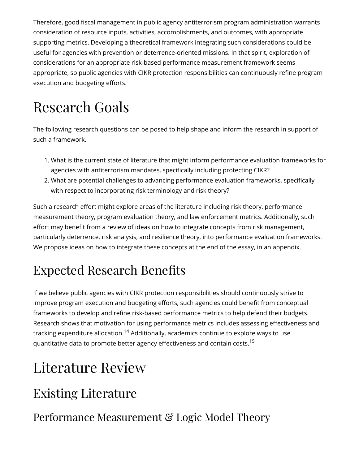Therefore, good fiscal management in public agency antiterrorism program administration warrants consideration of resource inputs, activities, accomplishments, and outcomes, with appropriate supporting metrics. Developing a theoretical framework integrating such considerations could be useful for agencies with prevention or deterrence-oriented missions. In that spirit, exploration of considerations for an appropriate risk-based performance measurement framework seems appropriate, so public agencies with CIKR protection responsibilities can continuously refine program execution and budgeting efforts.

# Research Goals

The following research questions can be posed to help shape and inform the research in support of such a framework.

- 1. What is the current state of literature that might inform performance evaluation frameworks for agencies with antiterrorism mandates, specifically including protecting CIKR?
- 2. What are potential challenges to advancing performance evaluation frameworks, specifically with respect to incorporating risk terminology and risk theory?

Such a research effort might explore areas of the literature including risk theory, performance measurement theory, program evaluation theory, and law enforcement metrics. Additionally, such effort may benefit from a review of ideas on how to integrate concepts from risk management, particularly deterrence, risk analysis, and resilience theory, into performance evaluation frameworks. We propose ideas on how to integrate these concepts at the end of the essay, in an appendix.

### Expected Research Benefits

If we believe public agencies with CIKR protection responsibilities should continuously strive to improve program execution and budgeting efforts, such agencies could benefit from conceptual frameworks to develop and refine risk-based performance metrics to help defend their budgets. Research shows that motivation for using performance metrics includes assessing effectiveness and tracking expenditure allocation[.](#page-34-8) $^{\textrm{14}}$  Additionally, academics continue to explore ways to use quantitative data to promote better agency effectiveness and contain costs.<sup>[15](#page-34-9)</sup>

# <span id="page-4-1"></span><span id="page-4-0"></span>Literature Review

### Existing Literature

#### Performance Measurement & Logic Model Theory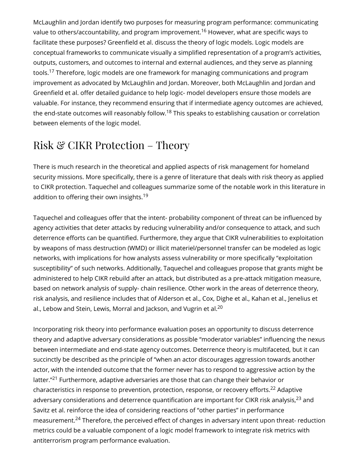<span id="page-5-1"></span><span id="page-5-0"></span>McLaughlin and Jordan identify two purposes for measuring program performance: communicating value to others/accountability, and program improvement.<sup>[16](#page-34-10)</sup> However, what are specific ways to facilitate these purposes? Greenfield et al. discuss the theory of logic models. Logic models are conceptual frameworks to communicate visually a simplified representation of a program's activities, outputs, customers, and outcomes to internal and external audiences, and they serve as planning tools. $^{17}$  $^{17}$  $^{17}$  Therefore, logic models are one framework for managing communications and program improvement as advocated by McLaughlin and Jordan. Moreover, both McLaughlin and Jordan and Greenfield et al. offer detailed guidance to help logic- model developers ensure those models are valuable. For instance, they recommend ensuring that if intermediate agency outcomes are achieved, the end-state outcomes will reasonably follow. $^{18}$  $^{18}$  $^{18}$  This speaks to establishing causation or correlation between elements of the logic model.

#### <span id="page-5-2"></span>Risk & CIKR Protection – Theory

There is much research in the theoretical and applied aspects of risk management for homeland security missions. More specifically, there is a genre of literature that deals with risk theory as applied to CIKR protection. Taquechel and colleagues summarize some of the notable work in this literature in addition to offering their own insights. $^{19}$  $^{19}$  $^{19}$ 

<span id="page-5-3"></span>Taquechel and colleagues offer that the intent- probability component of threat can be influenced by agency activities that deter attacks by reducing vulnerability and/or consequence to attack, and such deterrence efforts can be quantified. Furthermore, they argue that CIKR vulnerabilities to exploitation by weapons of mass destruction (WMD) or illicit materiel/personnel transfer can be modeled as logic networks, with implications for how analysts assess vulnerability or more specifically "exploitation susceptibility" of such networks. Additionally, Taquechel and colleagues propose that grants might be administered to help CIKR rebuild after an attack, but distributed as a pre-attack mitigation measure, based on network analysis of supply- chain resilience. Other work in the areas of deterrence theory, risk analysis, and resilience includes that of Alderson et al., Cox, Dighe et al., Kahan et al., Jenelius et al., Lebow and Stein, Lewis, Morral and Jackson, and Vugrin et al. $^{20}$  $^{20}$  $^{20}$ 

<span id="page-5-8"></span><span id="page-5-7"></span><span id="page-5-6"></span><span id="page-5-5"></span><span id="page-5-4"></span>Incorporating risk theory into performance evaluation poses an opportunity to discuss deterrence theory and adaptive adversary considerations as possible "moderator variables" influencing the nexus between intermediate and end-state agency outcomes. Deterrence theory is multifaceted, but it can succinctly be described as the principle of "when an actor discourages aggression towards another actor, with the intended outcome that the former never has to respond to aggressive action by the latter."<sup>[21](#page-35-2)</sup> Furthermore, adaptive adversaries are those that can change their behavior or characteristics in response to prevention, protection, response, or recovery efforts.<sup>[22](#page-36-0)</sup> Adaptive adversary considerations and deterrence quantification are important for CIKR risk analysis, $^{23}$  $^{23}$  $^{23}$  and Savitz et al. reinforce the idea of considering reactions of "other parties" in performance measurement.<sup>[24](#page-36-2)</sup> Therefore, the perceived effect of changes in adversary intent upon threat- reduction metrics could be a valuable component of a logic model framework to integrate risk metrics with antiterrorism program performance evaluation.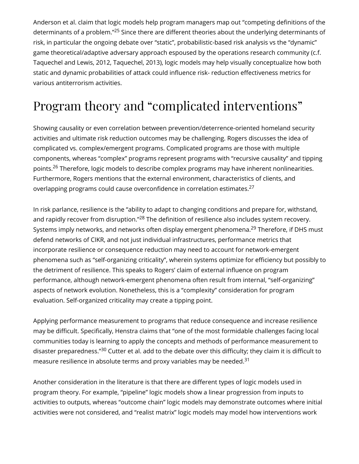<span id="page-6-0"></span>Anderson et al. claim that logic models help program managers map out "competing definitions of the determinants of a problem."<sup>[25](#page-36-3)</sup> Since there are different theories about the underlying determinants of risk, in particular the ongoing debate over "static", probabilistic-based risk analysis vs the "dynamic" game theoretical/adaptive adversary approach espoused by the operations research community (c.f. Taquechel and Lewis, 2012, Taquechel, 2013), logic models may help visually conceptualize how both static and dynamic probabilities of attack could influence risk- reduction effectiveness metrics for various antiterrorism activities.

### Program theory and "complicated interventions"

<span id="page-6-1"></span>Showing causality or even correlation between prevention/deterrence-oriented homeland security activities and ultimate risk reduction outcomes may be challenging. Rogers discusses the idea of complicated vs. complex/emergent programs. Complicated programs are those with multiple components, whereas "complex" programs represent programs with "recursive causality" and tipping points.<sup>[26](#page-36-4)</sup> Therefore, logic models to describe complex programs may have inherent nonlinearities. Furthermore, Rogers mentions that the external environment, characteristics of clients, and overlapping programs could cause overconfidence in correlation estimates.<sup>[27](#page-36-5)</sup>

<span id="page-6-4"></span><span id="page-6-3"></span><span id="page-6-2"></span>In risk parlance, resilience is the "ability to adapt to changing conditions and prepare for, withstand, and rapidly recover from disruption."<sup>[28](#page-36-6)</sup> The definition of resilience also includes system recovery. Systems imply networks, and networks often display emergent phenomena.<sup>[29](#page-36-7)</sup> Therefore, if DHS must defend networks of CIKR, and not just individual infrastructures, performance metrics that incorporate resilience or consequence reduction may need to account for network-emergent phenomena such as "self-organizing criticality", wherein systems optimize for efficiency but possibly to the detriment of resilience. This speaks to Rogers' claim of external influence on program performance, although network-emergent phenomena often result from internal, "self-organizing" aspects of network evolution. Nonetheless, this is a "complexity" consideration for program evaluation. Self-organized criticality may create a tipping point.

<span id="page-6-5"></span>Applying performance measurement to programs that reduce consequence and increase resilience may be difficult. Specifically, Henstra claims that "one of the most formidable challenges facing local communities today is learning to apply the concepts and methods of performance measurement to disaster preparedness."<sup>[30](#page-36-8)</sup> Cutter et al. add to the debate over this difficulty; they claim it is difficult to measure resilience in absolute terms and proxy variables may be needed. $^{31}$  $^{31}$  $^{31}$ 

<span id="page-6-6"></span>Another consideration in the literature is that there are different types of logic models used in program theory. For example, "pipeline" logic models show a linear progression from inputs to activities to outputs, whereas "outcome chain" logic models may demonstrate outcomes where initial activities were not considered, and "realist matrix" logic models may model how interventions work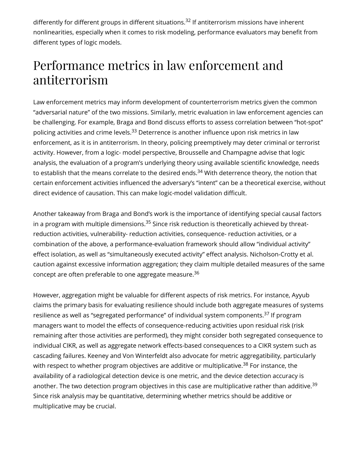<span id="page-7-0"></span>differently for different groups in different situations.<sup>[32](#page-36-10)</sup> If antiterrorism missions have inherent nonlinearities, especially when it comes to risk modeling, performance evaluators may benefit from different types of logic models.

#### Performance metrics in law enforcement and antiterrorism

<span id="page-7-1"></span>Law enforcement metrics may inform development of counterterrorism metrics given the common "adversarial nature" of the two missions. Similarly, metric evaluation in law enforcement agencies can be challenging. For example, Braga and Bond discuss efforts to assess correlation between "hot-spot" policing activities and crime levels.<sup>[33](#page-36-11)</sup> Deterrence is another influence upon risk metrics in law enforcement, as it is in antiterrorism. In theory, policing preemptively may deter criminal or terrorist activity. However, from a logic- model perspective, Brousselle and Champagne advise that logic analysis, the evaluation of a program's underlying theory using available scientific knowledge, needs to establish that the means correlate to the desired ends. $^{34}$  $^{34}$  $^{34}$  With deterrence theory, the notion that certain enforcement activities influenced the adversary's "intent" can be a theoretical exercise, without direct evidence of causation. This can make logic-model validation difficult.

<span id="page-7-3"></span><span id="page-7-2"></span>Another takeaway from Braga and Bond's work is the importance of identifying special causal factors in a program with multiple dimensions. $^{\rm 35}$  $^{\rm 35}$  $^{\rm 35}$  Since risk reduction is theoretically achieved by threatreduction activities, vulnerability- reduction activities, consequence- reduction activities, or a combination of the above, a performance-evaluation framework should allow "individual activity" effect isolation, as well as "simultaneously executed activity" effect analysis. Nicholson-Crotty et al. caution against excessive information aggregation; they claim multiple detailed measures of the same concept are often preferable to one aggregate measure. [36](#page-37-2)

<span id="page-7-7"></span><span id="page-7-6"></span><span id="page-7-5"></span><span id="page-7-4"></span>However, aggregation might be valuable for different aspects of risk metrics. For instance, Ayyub claims the primary basis for evaluating resilience should include both aggregate measures of systems resilience as well as "segregated performance" of individual system components.<sup>[37](#page-37-3)</sup> If program managers want to model the effects of consequence-reducing activities upon residual risk (risk remaining after those activities are performed), they might consider both segregated consequence to individual CIKR, as well as aggregate network effects-based consequences to a CIKR system such as cascading failures. Keeney and Von Winterfeldt also advocate for metric aggregatibility, particularly with respect to whether program objectives are additive or multiplicative.<sup>[38](#page-37-4)</sup> For instance, the availability of a radiological detection device is one metric, and the device detection accuracy is another. The two detection program objectives in this case are multiplicative rather than additive.<sup>[39](#page-37-5)</sup> Since risk analysis may be quantitative, determining whether metrics should be additive or multiplicative may be crucial.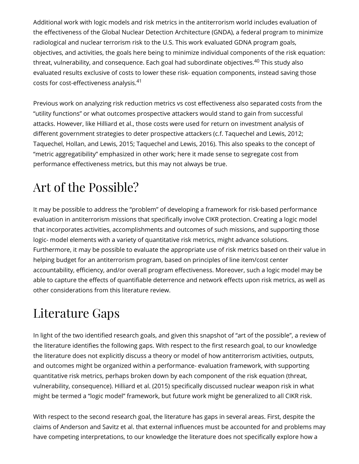<span id="page-8-0"></span>Additional work with logic models and risk metrics in the antiterrorism world includes evaluation of the effectiveness of the Global Nuclear Detection Architecture (GNDA), a federal program to minimize radiological and nuclear terrorism risk to the U.S. This work evaluated GDNA program goals, objectives, and activities, the goals here being to minimize individual components of the risk equation: threat, vulnerability, and consequence. Each goal had subordinate objectives.<sup>[40](#page-37-6)</sup> This study also evaluated results exclusive of costs to lower these risk- equation components, instead saving those costs for cost-effectiveness analysis.<sup>[41](#page-37-7)</sup>

<span id="page-8-1"></span>Previous work on analyzing risk reduction metrics vs cost effectiveness also separated costs from the "utility functions" or what outcomes prospective attackers would stand to gain from successful attacks. However, like Hilliard et al., those costs were used for return on investment analysis of different government strategies to deter prospective attackers (c.f. Taquechel and Lewis, 2012; Taquechel, Hollan, and Lewis, 2015; Taquechel and Lewis, 2016). This also speaks to the concept of "metric aggregatibility" emphasized in other work; here it made sense to segregate cost from performance effectiveness metrics, but this may not always be true.

### Art of the Possible?

It may be possible to address the "problem" of developing a framework for risk-based performance evaluation in antiterrorism missions that specifically involve CIKR protection. Creating a logic model that incorporates activities, accomplishments and outcomes of such missions, and supporting those logic- model elements with a variety of quantitative risk metrics, might advance solutions. Furthermore, it may be possible to evaluate the appropriate use of risk metrics based on their value in helping budget for an antiterrorism program, based on principles of line item/cost center accountability, efficiency, and/or overall program effectiveness. Moreover, such a logic model may be able to capture the effects of quantifiable deterrence and network effects upon risk metrics, as well as other considerations from this literature review.

#### Literature Gaps

In light of the two identified research goals, and given this snapshot of "art of the possible", a review of the literature identifies the following gaps. With respect to the first research goal, to our knowledge the literature does not explicitly discuss a theory or model of how antiterrorism activities, outputs, and outcomes might be organized within a performance- evaluation framework, with supporting quantitative risk metrics, perhaps broken down by each component of the risk equation (threat, vulnerability, consequence). Hilliard et al. (2015) specifically discussed nuclear weapon risk in what might be termed a "logic model" framework, but future work might be generalized to all CIKR risk.

With respect to the second research goal, the literature has gaps in several areas. First, despite the claims of Anderson and Savitz et al. that external influences must be accounted for and problems may have competing interpretations, to our knowledge the literature does not specifically explore how a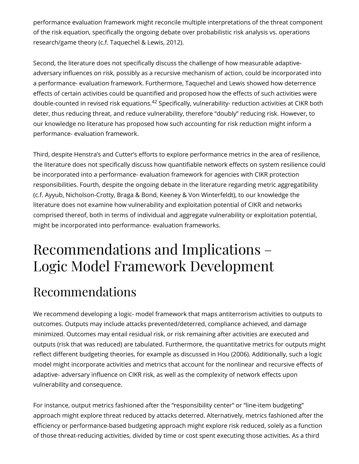performance evaluation framework might reconcile multiple interpretations of the threat component of the risk equation, specifically the ongoing debate over probabilistic risk analysis vs. operations research/game theory (c.f. Taquechel & Lewis, 2012).

<span id="page-9-0"></span>Second, the literature does not specifically discuss the challenge of how measurable adaptiveadversary influences on risk, possibly as a recursive mechanism of action, could be incorporated into a performance- evaluation framework. Furthermore, Taquechel and Lewis showed how deterrence effects of certain activities could be quantified and proposed how the effects of such activities were double-counted in revised risk equations.<sup>[42](#page-37-8)</sup> Specifically, vulnerability- reduction activities at CIKR both deter, thus reducing threat, and reduce vulnerability, therefore "doubly" reducing risk. However, to our knowledge no literature has proposed how such accounting for risk reduction might inform a performance- evaluation framework.

Third, despite Henstra's and Cutter's efforts to explore performance metrics in the area of resilience, the literature does not specifically discuss how quantifiable network effects on system resilience could be incorporated into a performance- evaluation framework for agencies with CIKR protection responsibilities. Fourth, despite the ongoing debate in the literature regarding metric aggregatibility (c.f. Ayyub, Nicholson-Crotty, Braga & Bond, Keeney & Von Winterfeldt), to our knowledge the literature does not examine how vulnerability and exploitation potential of CIKR and networks comprised thereof, both in terms of individual and aggregate vulnerability or exploitation potential, might be incorporated into performance- evaluation frameworks.

### Recommendations and Implications – Logic Model Framework Development

#### Recommendations

We recommend developing a logic- model framework that maps antiterrorism activities to outputs to outcomes. Outputs may include attacks prevented/deterred, compliance achieved, and damage minimized. Outcomes may entail residual risk, or risk remaining after activities are executed and outputs (risk that was reduced) are tabulated. Furthermore, the quantitative metrics for outputs might reflect different budgeting theories, for example as discussed in Hou (2006). Additionally, such a logic model might incorporate activities and metrics that account for the nonlinear and recursive effects of adaptive- adversary influence on CIKR risk, as well as the complexity of network effects upon vulnerability and consequence.

For instance, output metrics fashioned after the "responsibility center" or "line-item budgeting" approach might explore threat reduced by attacks deterred. Alternatively, metrics fashioned after the efficiency or performance-based budgeting approach might explore risk reduced, solely as a function of those threat-reducing activities, divided by time or cost spent executing those activities. As a third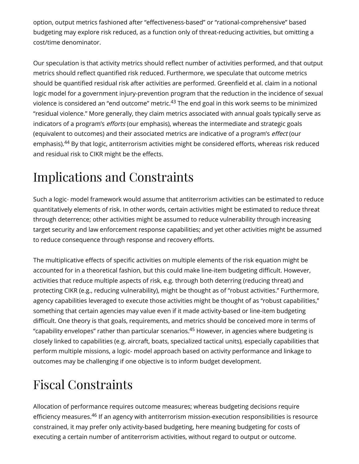option, output metrics fashioned after "effectiveness-based" or "rational-comprehensive" based budgeting may explore risk reduced, as a function only of threat-reducing activities, but omitting a cost/time denominator.

<span id="page-10-0"></span>Our speculation is that activity metrics should reflect number of activities performed, and that output metrics should reflect quantified risk reduced. Furthermore, we speculate that outcome metrics should be quantified residual risk after activities are performed. Greenfield et al. claim in a notional logic model for a government injury-prevention program that the reduction in the incidence of sexual violence is considered an "end outcome" metric. $^{43}$  $^{43}$  $^{43}$  The end goal in this work seems to be minimized "residual violence." More generally, they claim metrics associated with annual goals typically serve as indicators of a program's efforts (our emphasis), whereas the intermediate and strategic goals (equivalent to outcomes) and their associated metrics are indicative of a program's effect (our emphasis).<sup>[44](#page-37-10)</sup> By that logic, antiterrorism activities might be considered efforts, whereas risk reduced and residual risk to CIKR might be the effects.

#### <span id="page-10-1"></span>Implications and Constraints

Such a logic- model framework would assume that antiterrorism activities can be estimated to reduce quantitatively elements of risk. In other words, certain activities might be estimated to reduce threat through deterrence; other activities might be assumed to reduce vulnerability through increasing target security and law enforcement response capabilities; and yet other activities might be assumed to reduce consequence through response and recovery efforts.

The multiplicative effects of specific activities on multiple elements of the risk equation might be accounted for in a theoretical fashion, but this could make line-item budgeting difficult. However, activities that reduce multiple aspects of risk, e.g. through both deterring (reducing threat) and protecting CIKR (e.g., reducing vulnerability), might be thought as of "robust activities." Furthermore, agency capabilities leveraged to execute those activities might be thought of as "robust capabilities," something that certain agencies may value even if it made activity-based or line-item budgeting difficult. One theory is that goals, requirements, and metrics should be conceived more in terms of "capability envelopes" rather than particular scenarios. $^{45}$  $^{45}$  $^{45}$  However, in agencies where budgeting is closely linked to capabilities (e.g. aircraft, boats, specialized tactical units), especially capabilities that perform multiple missions, a logic- model approach based on activity performance and linkage to outcomes may be challenging if one objective is to inform budget development.

### <span id="page-10-2"></span>Fiscal Constraints

<span id="page-10-3"></span>Allocation of performance requires outcome measures; whereas budgeting decisions require efficiency measures.<sup>[46](#page-37-12)</sup> If an agency with antiterrorism mission-execution responsibilities is resource constrained, it may prefer only activity-based budgeting, here meaning budgeting for costs of executing a certain number of antiterrorism activities, without regard to output or outcome.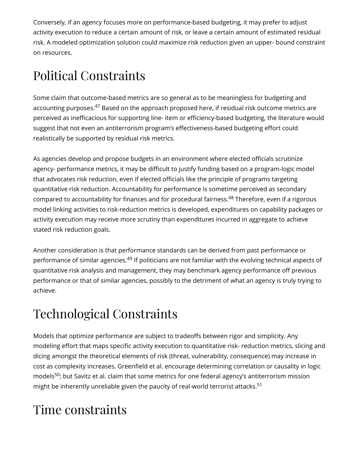Conversely, if an agency focuses more on performance-based budgeting, it may prefer to adjust activity execution to reduce a certain amount of risk, or leave a certain amount of estimated residual risk. A modeled optimization solution could maximize risk reduction given an upper- bound constraint on resources.

### Political Constraints

<span id="page-11-0"></span>Some claim that outcome-based metrics are so general as to be meaningless for budgeting and accounting purposes.<sup>[47](#page-37-13)</sup> Based on the approach proposed here, if residual risk outcome metrics are perceived as inefficacious for supporting line- item or efficiency-based budgeting, the literature would suggest that not even an antiterrorism program's effectiveness-based budgeting effort could realistically be supported by residual risk metrics.

<span id="page-11-1"></span>As agencies develop and propose budgets in an environment where elected officials scrutinize agency- performance metrics, it may be difficult to justify funding based on a program-logic model that advocates risk reduction, even if elected officials like the principle of programs targeting quantitative risk reduction. Accountability for performance is sometime perceived as secondary compared to accountability for finances and for procedural fairness.<sup>[48](#page-38-0)</sup> Therefore, even if a rigorous model linking activities to risk-reduction metrics is developed, expenditures on capability packages or activity execution may receive more scrutiny than expenditures incurred in aggregate to achieve stated risk reduction goals.

<span id="page-11-2"></span>Another consideration is that performance standards can be derived from past performance or performance of similar agencies.<sup>[49](#page-38-1)</sup> If politicians are not familiar with the evolving technical aspects of quantitative risk analysis and management, they may benchmark agency performance off previous performance or that of similar agencies, possibly to the detriment of what an agency is truly trying to achieve.

#### Technological Constraints

Models that optimize performance are subject to tradeoffs between rigor and simplicity. Any modeling effort that maps specific activity execution to quantitative risk- reduction metrics, slicing and dicing amongst the theoretical elements of risk (threat, vulnerability, consequence) may increase in cost as complexity increases. Greenfield et al. encourage determining correlation or causality in logic models<sup>[50](#page-38-2)</sup>; but Savitz et al. claim that some metrics for one federal agency's antiterrorism mission might be inherently unreliable given the paucity of real-world terrorist attacks. [51](#page-38-3)

#### <span id="page-11-4"></span><span id="page-11-3"></span>Time constraints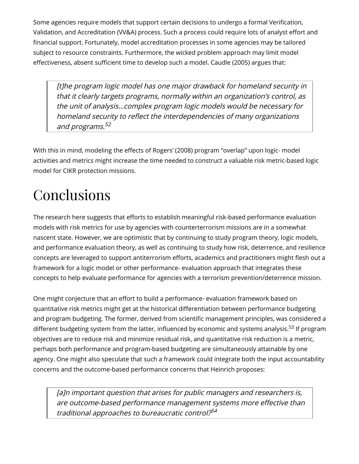Some agencies require models that support certain decisions to undergo a formal Verification, Validation, and Accreditation (VV&A) process. Such a process could require lots of analyst effort and financial support. Fortunately, model accreditation processes in some agencies may be tailored subject to resource constraints. Furthermore, the wicked problem approach may limit model effectiveness, absent sufficient time to develop such a model. Caudle (2005) argues that:

<span id="page-12-0"></span>[t]he program logic model has one major drawback for homeland security in that it clearly targets programs, normally within an organization's control, as the unit of analysis…complex program logic models would be necessary for homeland security to reflect the interdependencies of many organizations and programs. [52](#page-38-4)

With this in mind, modeling the effects of Rogers' (2008) program "overlap" upon logic- model activities and metrics might increase the time needed to construct a valuable risk metric-based logic model for CIKR protection missions.

# Conclusions

The research here suggests that efforts to establish meaningful risk-based performance evaluation models with risk metrics for use by agencies with counterterrorism missions are in a somewhat nascent state. However, we are optimistic that by continuing to study program theory, logic models, and performance evaluation theory, as well as continuing to study how risk, deterrence, and resilience concepts are leveraged to support antiterrorism efforts, academics and practitioners might flesh out a framework for a logic model or other performance- evaluation approach that integrates these concepts to help evaluate performance for agencies with a terrorism prevention/deterrence mission.

One might conjecture that an effort to build a performance- evaluation framework based on quantitative risk metrics might get at the historical differentiation between performance budgeting and program budgeting. The former, derived from scientific management principles, was considered a different budgeting system from the latter, influenced by economic and systems analysis.<sup>[53](#page-38-5)</sup> If program objectives are to reduce risk and minimize residual risk, and quantitative risk reduction is a metric, perhaps both performance and program-based budgeting are simultaneously attainable by one agency. One might also speculate that such a framework could integrate both the input accountability concerns and the outcome-based performance concerns that Heinrich proposes:

<span id="page-12-2"></span><span id="page-12-1"></span>[a]n important question that arises for public managers and researchers is, are outcome-based performance management systems more effective than traditional approaches to bureaucratic control? [54](#page-38-6)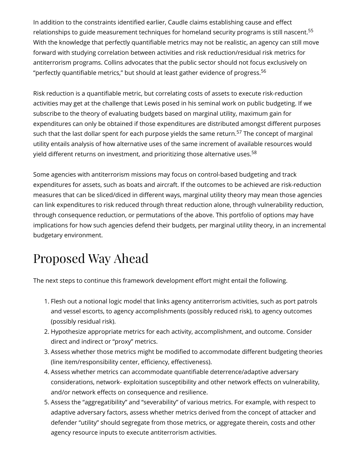<span id="page-13-0"></span>In addition to the constraints identified earlier, Caudle claims establishing cause and effect relationships to guide measurement techniques for homeland security programs is still nascent.<sup>[55](#page-38-7)</sup> With the knowledge that perfectly quantifiable metrics may not be realistic, an agency can still move forward with studying correlation between activities and risk reduction/residual risk metrics for antiterrorism programs. Collins advocates that the public sector should not focus exclusively on "perfectly quantifiable metrics," but should at least gather evidence of progress. $^{56}$  $^{56}$  $^{56}$ 

<span id="page-13-2"></span><span id="page-13-1"></span>Risk reduction is a quantifiable metric, but correlating costs of assets to execute risk-reduction activities may get at the challenge that Lewis posed in his seminal work on public budgeting. If we subscribe to the theory of evaluating budgets based on marginal utility, maximum gain for expenditures can only be obtained if those expenditures are distributed amongst different purposes such that the last dollar spent for each purpose yields the same return.<sup>[57](#page-38-9)</sup> The concept of marginal utility entails analysis of how alternative uses of the same increment of available resources would yield different returns on investment, and prioritizing those alternative uses. $^{\rm 58}$  $^{\rm 58}$  $^{\rm 58}$ 

<span id="page-13-3"></span>Some agencies with antiterrorism missions may focus on control-based budgeting and track expenditures for assets, such as boats and aircraft. If the outcomes to be achieved are risk-reduction measures that can be sliced/diced in different ways, marginal utility theory may mean those agencies can link expenditures to risk reduced through threat reduction alone, through vulnerability reduction, through consequence reduction, or permutations of the above. This portfolio of options may have implications for how such agencies defend their budgets, per marginal utility theory, in an incremental budgetary environment.

### Proposed Way Ahead

The next steps to continue this framework development effort might entail the following.

- 1. Flesh out a notional logic model that links agency antiterrorism activities, such as port patrols and vessel escorts, to agency accomplishments (possibly reduced risk), to agency outcomes (possibly residual risk).
- 2. Hypothesize appropriate metrics for each activity, accomplishment, and outcome. Consider direct and indirect or "proxy" metrics.
- 3. Assess whether those metrics might be modified to accommodate different budgeting theories (line item/responsibility center, efficiency, effectiveness).
- 4. Assess whether metrics can accommodate quantifiable deterrence/adaptive adversary considerations, network- exploitation susceptibility and other network effects on vulnerability, and/or network effects on consequence and resilience.
- 5. Assess the "aggregatibility" and "severability" of various metrics. For example, with respect to adaptive adversary factors, assess whether metrics derived from the concept of attacker and defender "utility" should segregate from those metrics, or aggregate therein, costs and other agency resource inputs to execute antiterrorism activities.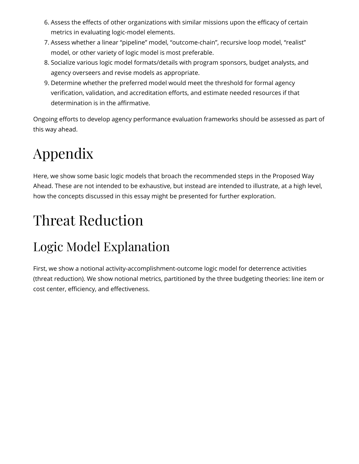- 6. Assess the effects of other organizations with similar missions upon the efficacy of certain metrics in evaluating logic-model elements.
- 7. Assess whether a linear "pipeline" model, "outcome-chain", recursive loop model, "realist" model, or other variety of logic model is most preferable.
- 8. Socialize various logic model formats/details with program sponsors, budget analysts, and agency overseers and revise models as appropriate.
- 9. Determine whether the preferred model would meet the threshold for formal agency verification, validation, and accreditation efforts, and estimate needed resources if that determination is in the affirmative.

Ongoing efforts to develop agency performance evaluation frameworks should be assessed as part of this way ahead.

# Appendix

Here, we show some basic logic models that broach the recommended steps in the Proposed Way Ahead. These are not intended to be exhaustive, but instead are intended to illustrate, at a high level, how the concepts discussed in this essay might be presented for further exploration.

# Threat Reduction

### Logic Model Explanation

First, we show a notional activity-accomplishment-outcome logic model for deterrence activities (threat reduction). We show notional metrics, partitioned by the three budgeting theories: line item or cost center, efficiency, and effectiveness.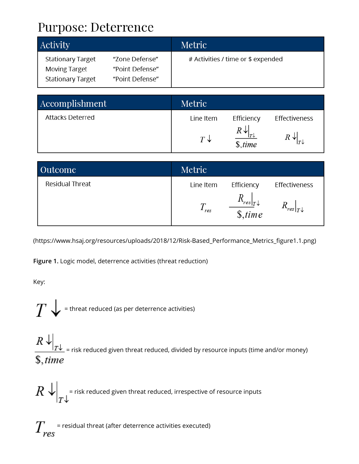#### Purpose: Deterrence

| Activity                                         |                                   | Metric                             |
|--------------------------------------------------|-----------------------------------|------------------------------------|
| <b>Stationary Target</b><br><b>Moving Target</b> | "Zone Defense"<br>"Point Defense" | # Activities / time or \$ expended |
| <b>Stationary Target</b>                         | "Point Defense"                   |                                    |

| Accomplishment   | Metric        |                            |                  |
|------------------|---------------|----------------------------|------------------|
| Attacks Deterred | Line Item     | Efficiency                 | Effectiveness    |
|                  | $T\downarrow$ | $R \downarrow$<br>\$, time | R ↓I<br>$ \tau $ |

| Outcome         | Metric    |                                          |                                  |
|-----------------|-----------|------------------------------------------|----------------------------------|
| Residual Threat | Line Item | Efficiency                               | Effectiveness                    |
|                 | res       | $res \tau\downarrow$<br>$$.$ <i>time</i> | $\lceil res \rceil_T \downarrow$ |

(https://www.hsaj.org/resources/uploads/2018/12/Risk-Based\_Performance\_Metrics\_figure1.1.png)

**Figure 1.** Logic model, deterrence activities (threat reduction)

Key:

 $T\bigdownarrow$  = threat reduced (as per deterrence activities)

 $\left. \frac{R \downarrow}{T \downarrow} \right|_{T}$  = risk reduced given threat reduced, divided by resource inputs (time and/or money)  $$, time$ 

 $\mathbb{R} \bigvee_{\tau \downarrow}$  = risk reduced given threat reduced, irrespective of resource inputs

 $T_{res}^{\phantom i}$  = residual threat (after deterrence activities executed)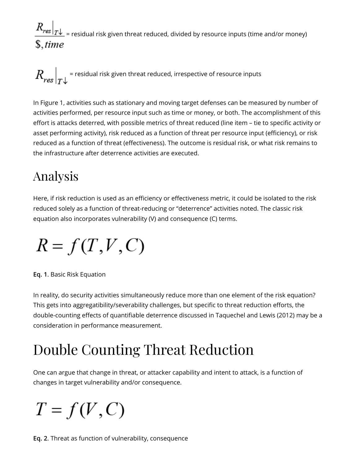$\frac{R_{res}|_{T\downarrow}}{T}$  = residual risk given threat reduced, divided by resource inputs (time and/or money)  $$, time$ 

 $\left. R_{res}^{\phantom{\dag}}\right\vert_{\tau}$  = residual risk given threat reduced, irrespective of resource inputs

In Figure 1, activities such as stationary and moving target defenses can be measured by number of activities performed, per resource input such as time or money, or both. The accomplishment of this effort is attacks deterred, with possible metrics of threat reduced (line item – tie to specific activity or asset performing activity), risk reduced as a function of threat per resource input (efficiency), or risk reduced as a function of threat (effectiveness). The outcome is residual risk, or what risk remains to the infrastructure after deterrence activities are executed.

### Analysis

Here, if risk reduction is used as an efficiency or effectiveness metric, it could be isolated to the risk reduced solely as a function of threat-reducing or "deterrence" activities noted. The classic risk equation also incorporates vulnerability (V) and consequence (C) terms.

$$
R = f(T, V, C)
$$

**Eq. 1**. Basic Risk Equation

In reality, do security activities simultaneously reduce more than one element of the risk equation? This gets into aggregatibility/severability challenges, but specific to threat reduction efforts, the double-counting effects of quantifiable deterrence discussed in Taquechel and Lewis (2012) may be a consideration in performance measurement.

## Double Counting Threat Reduction

One can argue that change in threat, or attacker capability and intent to attack, is a function of changes in target vulnerability and/or consequence.

# $T = f(V, C)$

**Eq. 2**. Threat as function of vulnerability, consequence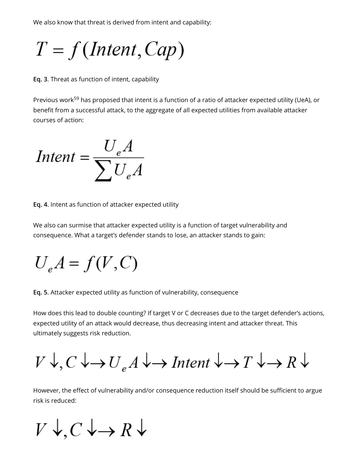We also know that threat is derived from intent and capability:

 $T = f(Internet, Cap)$ 

**Eq. 3**. Threat as function of intent, capability

<span id="page-17-0"></span>Previous work<sup>[59](#page-38-11)</sup> has proposed that intent is a function of a ratio of attacker expected utility (UeA), or benefit from a successful attack, to the aggregate of all expected utilities from available attacker courses of action:

Intent =  $\frac{U_e A}{\sum U_e A}$ 

**Eq. 4**. Intent as function of attacker expected utility

We also can surmise that attacker expected utility is a function of target vulnerability and consequence. What a target's defender stands to lose, an attacker stands to gain:

 $U_aA = f(V, C)$ 

**Eq. 5**. Attacker expected utility as function of vulnerability, consequence

How does this lead to double counting? If target V or C decreases due to the target defender's actions, expected utility of an attack would decrease, thus decreasing intent and attacker threat. This ultimately suggests risk reduction.

 $V \downarrow, C \downarrow \rightarrow U_{e} A \downarrow \rightarrow Intent \downarrow \rightarrow T \downarrow \rightarrow R \downarrow$ 

However, the effect of vulnerability and/or consequence reduction itself should be sufficient to argue risk is reduced:

 $V \downarrow$ ,  $C \downarrow \rightarrow R \downarrow$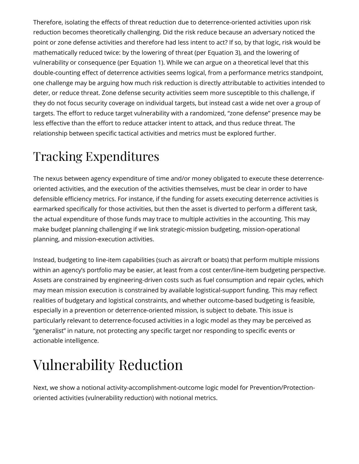Therefore, isolating the effects of threat reduction due to deterrence-oriented activities upon risk reduction becomes theoretically challenging. Did the risk reduce because an adversary noticed the point or zone defense activities and therefore had less intent to act? If so, by that logic, risk would be mathematically reduced twice: by the lowering of threat (per Equation 3), and the lowering of vulnerability or consequence (per Equation 1). While we can argue on a theoretical level that this double-counting effect of deterrence activities seems logical, from a performance metrics standpoint, one challenge may be arguing how much risk reduction is directly attributable to activities intended to deter, or reduce threat. Zone defense security activities seem more susceptible to this challenge, if they do not focus security coverage on individual targets, but instead cast a wide net over a group of targets. The effort to reduce target vulnerability with a randomized, "zone defense" presence may be less effective than the effort to reduce attacker intent to attack, and thus reduce threat. The relationship between specific tactical activities and metrics must be explored further.

### Tracking Expenditures

The nexus between agency expenditure of time and/or money obligated to execute these deterrenceoriented activities, and the execution of the activities themselves, must be clear in order to have defensible efficiency metrics. For instance, if the funding for assets executing deterrence activities is earmarked specifically for those activities, but then the asset is diverted to perform a different task, the actual expenditure of those funds may trace to multiple activities in the accounting. This may make budget planning challenging if we link strategic-mission budgeting, mission-operational planning, and mission-execution activities.

Instead, budgeting to line-item capabilities (such as aircraft or boats) that perform multiple missions within an agency's portfolio may be easier, at least from a cost center/line-item budgeting perspective. Assets are constrained by engineering-driven costs such as fuel consumption and repair cycles, which may mean mission execution is constrained by available logistical-support funding. This may reflect realities of budgetary and logistical constraints, and whether outcome-based budgeting is feasible, especially in a prevention or deterrence-oriented mission, is subject to debate. This issue is particularly relevant to deterrence-focused activities in a logic model as they may be perceived as "generalist" in nature, not protecting any specific target nor responding to specific events or actionable intelligence.

# Vulnerability Reduction

Next, we show a notional activity-accomplishment-outcome logic model for Prevention/Protectionoriented activities (vulnerability reduction) with notional metrics.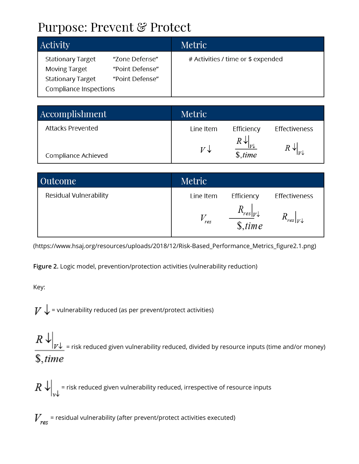#### Purpose: Prevent & Protect

| <b>Activity</b>                                                                                                                                                | Metric                             |
|----------------------------------------------------------------------------------------------------------------------------------------------------------------|------------------------------------|
| <b>Stationary Target</b><br>"Zone Defense"<br><b>Moving Target</b><br>"Point Defense"<br><b>Stationary Target</b><br>"Point Defense"<br>Compliance Inspections | # Activities / time or \$ expended |

| Accomplishment           | Metric    |                                  |               |
|--------------------------|-----------|----------------------------------|---------------|
| <b>Attacks Prevented</b> | Line Item | Efficiency                       | Effectiveness |
| Compliance Achieved      | V↓        | $R\downarrow$<br> V <br>\$, time |               |

| <b>Outcome</b>         | Metric    |                                |                                  |
|------------------------|-----------|--------------------------------|----------------------------------|
| Residual Vulnerability | Line Item | Efficiency                     | Effectiveness                    |
|                        | res       | $res _{V}$<br>$$.$ <i>time</i> | $\lceil res \rceil_V \downarrow$ |

(https://www.hsaj.org/resources/uploads/2018/12/Risk-Based\_Performance\_Metrics\_figure2.1.png)

**Figure 2.** Logic model, prevention/protection activities (vulnerability reduction)

Key:

 $V \bigdownarrow$  = vulnerability reduced (as per prevent/protect activities)

 $\left\Vert R\downarrow\right\Vert _{V\downarrow}$  = risk reduced given vulnerability reduced, divided by resource inputs (time and/or money)  $$, time$ 

 $\mathbb{R}\left\|X\right\|_{\mathbb{R}^d}$  = risk reduced given vulnerability reduced, irrespective of resource inputs

 $V_{\text{ref}}$  = residual vulnerability (after prevent/protect activities executed)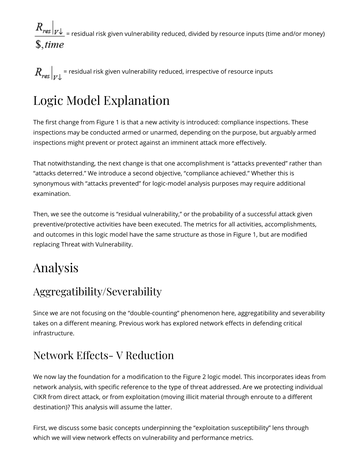$\frac{R_{res}|_{V^\downarrow}}{V}$  = residual risk given vulnerability reduced, divided by resource inputs (time and/or money)  $$, time$ 

 $\left. R_{res}^{} \right|_{\rm trl}$  = residual risk given vulnerability reduced, irrespective of resource inputs

### Logic Model Explanation

The first change from Figure 1 is that a new activity is introduced: compliance inspections. These inspections may be conducted armed or unarmed, depending on the purpose, but arguably armed inspections might prevent or protect against an imminent attack more effectively.

That notwithstanding, the next change is that one accomplishment is "attacks prevented" rather than "attacks deterred." We introduce a second objective, "compliance achieved." Whether this is synonymous with "attacks prevented" for logic-model analysis purposes may require additional examination.

Then, we see the outcome is "residual vulnerability," or the probability of a successful attack given preventive/protective activities have been executed. The metrics for all activities, accomplishments, and outcomes in this logic model have the same structure as those in Figure 1, but are modified replacing Threat with Vulnerability.

#### Analysis

#### Aggregatibility/Severability

Since we are not focusing on the "double-counting" phenomenon here, aggregatibility and severability takes on a different meaning. Previous work has explored network effects in defending critical infrastructure.

#### Network Effects-V Reduction

We now lay the foundation for a modification to the Figure 2 logic model. This incorporates ideas from network analysis, with specific reference to the type of threat addressed. Are we protecting individual CIKR from direct attack, or from exploitation (moving illicit material through enroute to a different destination)? This analysis will assume the latter.

First, we discuss some basic concepts underpinning the "exploitation susceptibility" lens through which we will view network effects on vulnerability and performance metrics.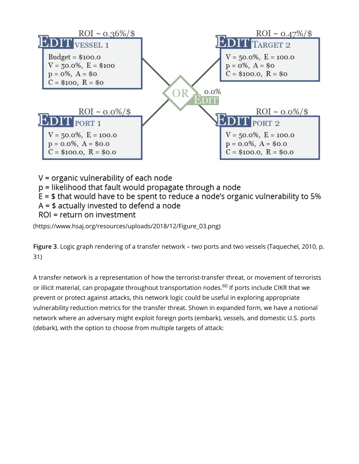

V = organic vulnerability of each node

p = likelihood that fault would propagate through a node

 $E = $$  that would have to be spent to reduce a node's organic vulnerability to 5%

 $A = $$  actually invested to defend a node

ROI = return on investment

[\(https://www.hsaj.org/resources/uploads/2018/12/Figure\\_03.png\)](https://www.hsaj.org/resources/uploads/2018/12/Figure_03.png)

**Figure 3**. Logic graph rendering of a transfer network – two ports and two vessels (Taquechel, 2010, p. 31)

<span id="page-21-0"></span>A transfer network is a representation of how the terrorist-transfer threat, or movement of terrorists or illicit material, can propagate throughout transportation nodes.<sup>[60](#page-38-12)</sup> If ports include CIKR that we prevent or protect against attacks, this network logic could be useful in exploring appropriate vulnerability reduction metrics for the transfer threat. Shown in expanded form, we have a notional network where an adversary might exploit foreign ports (embark), vessels, and domestic U.S. ports (debark), with the option to choose from multiple targets of attack: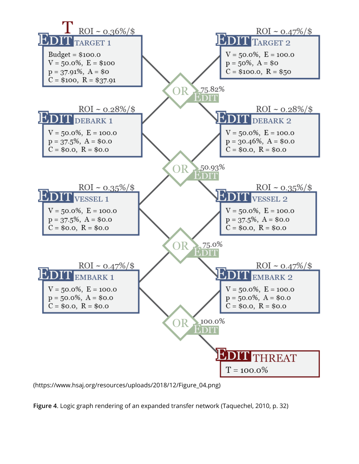

[\(https://www.hsaj.org/resources/uploads/2018/12/Figure\\_04.png\)](https://www.hsaj.org/resources/uploads/2018/12/Figure_04.png)

**Figure 4**. Logic graph rendering of an expanded transfer network (Taquechel, 2010, p. 32)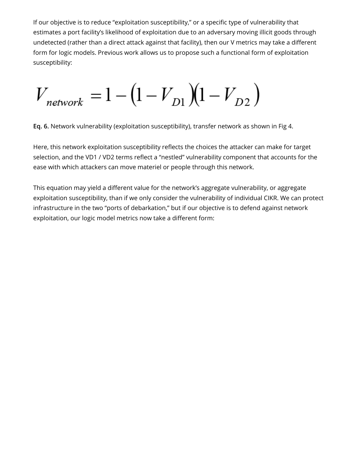If our objective is to reduce "exploitation susceptibility," or a specific type of vulnerability that estimates a port facility's likelihood of exploitation due to an adversary moving illicit goods through undetected (rather than a direct attack against that facility), then our V metrics may take a different form for logic models. Previous work allows us to propose such a functional form of exploitation susceptibility:

 $V_{\text{network}} = 1 - (1 - V_{D1})(1 - V_{D2})$ 

**Eq. 6.** Network vulnerability (exploitation susceptibility), transfer network as shown in Fig 4.

Here, this network exploitation susceptibility reflects the choices the attacker can make for target selection, and the VD1 / VD2 terms reflect a "nestled" vulnerability component that accounts for the ease with which attackers can move materiel or people through this network.

This equation may yield a different value for the network's aggregate vulnerability, or aggregate exploitation susceptibility, than if we only consider the vulnerability of individual CIKR. We can protect infrastructure in the two "ports of debarkation," but if our objective is to defend against network exploitation, our logic model metrics now take a different form: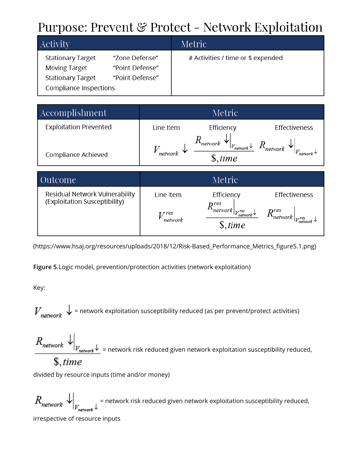### Purpose: Prevent & Protect - Network Exploitation

| <b>Activity</b>          |                 | Metric                             |
|--------------------------|-----------------|------------------------------------|
| <b>Stationary Target</b> | "Zone Defense"  | # Activities / time or \$ expended |
| <b>Moving Target</b>     | "Point Defense" |                                    |
| <b>Stationary Target</b> | "Point Defense" |                                    |
| Compliance Inspections   |                 |                                    |

| Accomplishment                |           | Metric               |               |
|-------------------------------|-----------|----------------------|---------------|
| <b>Exploitation Prevented</b> | Line Item | Efficiency           | Effectiveness |
| Compliance Achieved           | network   | `network<br>\$. time |               |

| Outcome                                                         |                             | Metric                                                                                            |                                                                                                          |
|-----------------------------------------------------------------|-----------------------------|---------------------------------------------------------------------------------------------------|----------------------------------------------------------------------------------------------------------|
| Residual Network Vulnerability<br>(Exploitation Susceptibility) | Line Item<br>res<br>network | Efficiency<br>nres<br>$\sim$ network $ _{V_{\text{network}}^{\text{res}}}$<br>$\mathsf{\$}, time$ | Effectiveness<br>$\left. \begin{array}{cc} & R^{res}_{network} \end{array} \right _{V^{res}_{m \sim 0}}$ |

(https://www.hsaj.org/resources/uploads/2018/12/Risk-Based\_Performance\_Metrics\_figure5.1.png)

**Figure 5.**Logic model, prevention/protection activities (network exploitation)

Key:

 $V_{\text{network}}$  = network exploitation susceptibility reduced (as per prevent/protect activities)

 $R_{network}$   $\downarrow$   $\downarrow$   $\downarrow$  = network risk reduced given network exploitation susceptibility reduced,  $$. time$ 

divided by resource inputs (time and/or money)

 $R_{network}$  = network risk reduced given network exploitation susceptibility reduced, irrespective of resource inputs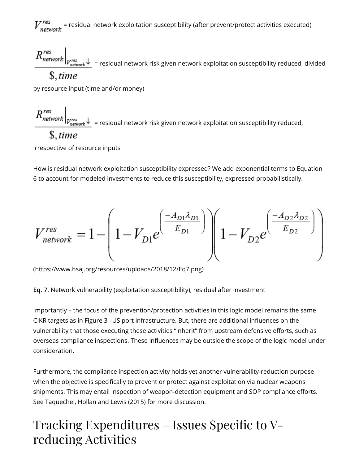$\frac{zres}{\eta}$  = residual network exploitation susceptibility (after prevent/protect activities executed)

 $R^{res}_{network}\Big|_{V^{res}_{network}}$  = residual network risk given network exploitation susceptibility reduced, divided  $$. time$ 

by resource input (time and/or money)

 $K_{network}$  $\left|_{V_{network}^{res}}\right\rangle$  = residual network risk given network exploitation susceptibility reduced,

#### $$. time$

irrespective of resource inputs

How is residual network exploitation susceptibility expressed? We add exponential terms to Equation 6 to account for modeled investments to reduce this susceptibility, expressed probabilistically.

$$
V_{network}^{res} = 1 - \left(1 - V_{D1}e^{\left(\frac{-A_{D1}\lambda_{D1}}{E_{D1}}\right)}\right)\left(1 - V_{D2}e^{\left(\frac{-A_{D2}\lambda_{D2}}{E_{D2}}\right)}\right)
$$

[\(https://www.hsaj.org/resources/uploads/2018/12/Eq7.png\)](https://www.hsaj.org/resources/uploads/2018/12/Eq7.png)

**Eq. 7.** Network vulnerability (exploitation susceptibility), residual after investment

Importantly – the focus of the prevention/protection activities in this logic model remains the same CIKR targets as in Figure 3 -US port infrastructure. But, there are additional influences on the vulnerability that those executing these activities "inherit" from upstream defensive efforts, such as overseas compliance inspections. These influences may be outside the scope of the logic model under consideration.

Furthermore, the compliance inspection activity holds yet another vulnerability-reduction purpose when the objective is specifically to prevent or protect against exploitation via nuclear weapons shipments. This may entail inspection of weapon-detection equipment and SOP compliance efforts. See Taquechel, Hollan and Lewis (2015) for more discussion.

#### Tracking Expenditures – Issues Specific to V– reducing Activities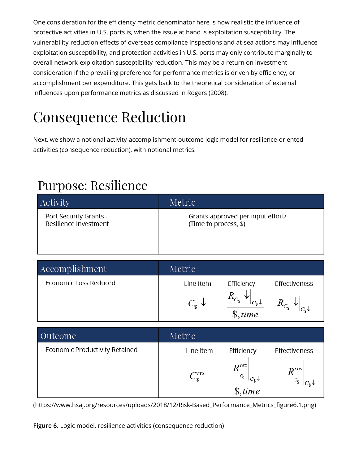One consideration for the efficiency metric denominator here is how realistic the influence of protective activities in U.S. ports is, when the issue at hand is exploitation susceptibility. The vulnerability-reduction effects of overseas compliance inspections and at-sea actions may influence exploitation susceptibility, and protection activities in U.S. ports may only contribute marginally to overall network-exploitation susceptibility reduction. This may be a return on investment consideration if the prevailing preference for performance metrics is driven by efficiency, or accomplishment per expenditure. This gets back to the theoretical consideration of external influences upon performance metrics as discussed in Rogers (2008).

# Consequence Reduction

Next, we show a notional activity-accomplishment-outcome logic model for resilience-oriented activities (consequence reduction), with notional metrics.

#### **Purpose: Resilience**

| <b>Activity</b>        | Metric                            |
|------------------------|-----------------------------------|
| Port Security Grants - | Grants approved per input effort/ |
| Resilience Investment  | (Time to process, \$)             |

| Accomplishment        | Metric                      |            |                 |
|-----------------------|-----------------------------|------------|-----------------|
| Economic Loss Reduced | Line Item                   | Efficiency | Effectiveness   |
|                       | $C_{\epsilon}$ $\downarrow$ | \$, time   | $R_{C_{\rm s}}$ |

| Outcome                        | Metric                |                                                       |               |
|--------------------------------|-----------------------|-------------------------------------------------------|---------------|
| Economic Productivity Retained | Line Item             | Efficiency                                            | Effectiveness |
|                                | $\lnot$ res<br>$\sim$ | $R^{res}$<br>$C_{\mathfrak{e}}\downarrow$<br>\$. time | $n$ res       |

(https://www.hsaj.org/resources/uploads/2018/12/Risk-Based\_Performance\_Metrics\_figure6.1.png)

**Figure 6.** Logic model, resilience activities (consequence reduction)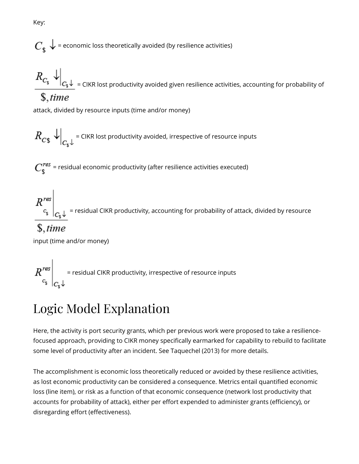$$
C_{\$} \downarrow
$$
 = economic loss theoretically avoided (by resilience activities)

 $R_{C_\$}\downarrow_{C_\$}\downarrow_{C_\$}\downarrow_{C_\$}$  = CIKR lost productivity avoided given resilience activities, accounting for probability of  $$. time$ 

attack, divided by resource inputs (time and/or money)

$$
R_{C\$\downarrow\big|_{C_{\$}\downarrow}} = \text{CIKR lost productivity avoided, irrespective of resource inputs}
$$

 $C_{\mathbf{\hat{e}}}^{res}$  = residual economic productivity (after resilience activities executed)

 $R_{c_\$}^{res}\Bigg|_{C_\$}\downarrow$  = residual CIKR productivity, accounting for probability of attack, divided by resource

#### $$, time$

input (time and/or money)

 $R_{c_s}^{res}\Bigg|_{C_*\downarrow}$  = residual CIKR productivity, irrespective of resource inputs

#### Logic Model Explanation

Here, the activity is port security grants, which per previous work were proposed to take a resiliencefocused approach, providing to CIKR money specifically earmarked for capability to rebuild to facilitate some level of productivity after an incident. See Taquechel (2013) for more details.

The accomplishment is economic loss theoretically reduced or avoided by these resilience activities, as lost economic productivity can be considered a consequence. Metrics entail quantified economic loss (line item), or risk as a function of that economic consequence (network lost productivity that accounts for probability of attack), either per effort expended to administer grants (efficiency), or disregarding effort (effectiveness).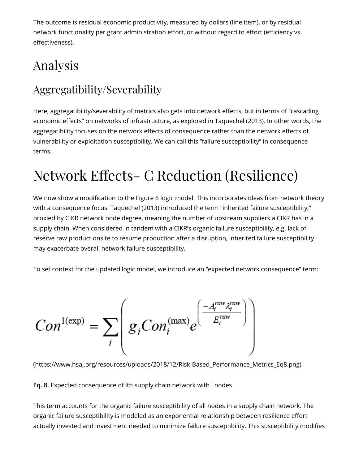The outcome is residual economic productivity, measured by dollars (line item), or by residual network functionality per grant administration effort, or without regard to effort (efficiency vs effectiveness).

### Analysis

#### Aggregatibility/Severability

Here, aggregatibility/severability of metrics also gets into network effects, but in terms of "cascading economic effects" on networks of infrastructure, as explored in Taquechel (2013). In other words, the aggregatibility focuses on the network effects of consequence rather than the network effects of vulnerability or exploitation susceptibility. We can call this "failure susceptibility" in consequence terms.

# Network Effects- C Reduction (Resilience)

We now show a modification to the Figure 6 logic model. This incorporates ideas from network theory with a consequence focus. Taquechel (2013) introduced the term "inherited failure susceptibility," proxied by CIKR network node degree, meaning the number of upstream suppliers a CIKR has in a supply chain. When considered in tandem with a CIKR's organic failure susceptibility, e.g. lack of reserve raw product onsite to resume production after a disruption, inherited failure susceptibility may exacerbate overall network failure susceptibility.

To set context for the updated logic model, we introduce an "expected network consequence" term:

$$
Con^{1(\exp)} = \sum_{i} \left( g_i Con_i^{(\max)} e^{\left( \frac{-A_i^{raw} \lambda_i^{raw}}{E_i^{raw}} \right)} \right)
$$

[\(https://www.hsaj.org/resources/uploads/2018/12/Risk-Based\\_Performance\\_Metrics\\_Eq8.png\)](https://www.hsaj.org/resources/uploads/2018/12/Risk-Based_Performance_Metrics_Eq8.png)

**Eq. 8.** Expected consequence of lth supply chain network with i nodes

This term accounts for the organic failure susceptibility of all nodes in a supply chain network. The organic failure susceptibility is modeled as an exponential relationship between resilience effort actually invested and investment needed to minimize failure susceptibility. This susceptibility modifies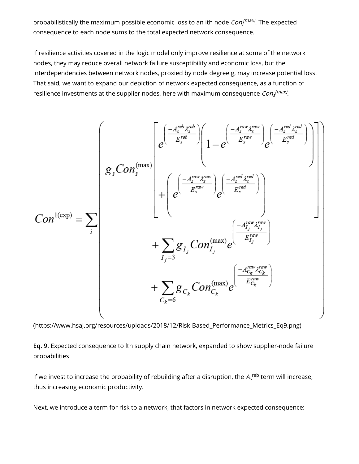probabilistically the maximum possible economic loss to an ith node  $\mathit{Con_{f}}^{(max)}$ . The expected consequence to each node sums to the total expected network consequence.

If resilience activities covered in the logic model only improve resilience at some of the network nodes, they may reduce overall network failure susceptibility and economic loss, but the interdependencies between network nodes, proxied by node degree g, may increase potential loss. That said, we want to expand our depiction of network expected consequence, as a function of resilience investments at the supplier nodes, here with maximum consequence  $\mathit{Con}^{\; (max)}_{\mathit{s}}.$ 

$$
Con^{1(\exp)} = \sum_{i} \begin{pmatrix} e^{\left(\frac{-A_{s}^{reb} \lambda_{s}^{reb}}{E_{s}^{reb}}\right)} \left(1 - e^{\left(\frac{-A_{s}^{raw} \lambda_{s}^{raw}}{E_{s}^{raw}}\right)} e^{\left(\frac{-A_{s}^{rwd} \lambda_{s}^{rwd}}{E_{s}^{rwd}}\right)}\right) \right) \\ g_{s}Con_{s}^{(\exp)} \\ + \left(e^{\left(\frac{-A_{s}^{raw} \lambda_{s}^{raw}}{E_{s}^{raw}}\right)} e^{\left(\frac{-A_{s}^{red} \lambda_{s}^{rwd}}{E_{s}^{rwd}}\right)}\right) \\ + \sum_{I_{j}=3} g_{I_{j}}Con_{I_{j}}^{(\max)} e^{\left(\frac{-A_{I_{j}}^{raw} \lambda_{I_{j}}^{raw}}{E_{I_{j}}^{raw}}\right)} \\ + \sum_{C_{k}=6} g_{C_{k}}Con_{C_{k}}^{(\max)} e^{\left(\frac{-A_{C_{k}}^{raw} \lambda_{C_{k}}^{raw}}{E_{C_{k}}^{raw}}\right)} \end{pmatrix}
$$

[\(https://www.hsaj.org/resources/uploads/2018/12/Risk-Based\\_Performance\\_Metrics\\_Eq9.png\)](https://www.hsaj.org/resources/uploads/2018/12/Risk-Based_Performance_Metrics_Eq9.png)

**Eq. 9.** Expected consequence to lth supply chain network, expanded to show supplier-node failure probabilities

If we invest to increase the probability of rebuilding after a disruption, the  $A_{\sf s}^{\rm \,reb}$  term will increase, thus increasing economic productivity.

Next, we introduce a term for risk to a network, that factors in network expected consequence: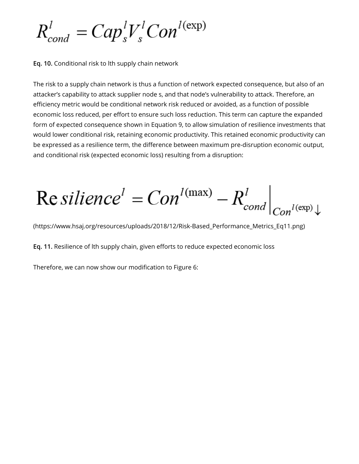$R_{cond}^{l} = Cap_{s}^{l}V_{s}^{l}Con^{l(\exp)}$ 

**Eq. 10.** Conditional risk to lth supply chain network

The risk to a supply chain network is thus a function of network expected consequence, but also of an attacker's capability to attack supplier node s, and that node's vulnerability to attack. Therefore, an efficiency metric would be conditional network risk reduced or avoided, as a function of possible economic loss reduced, per effort to ensure such loss reduction. This term can capture the expanded form of expected consequence shown in Equation 9, to allow simulation of resilience investments that would lower conditional risk, retaining economic productivity. This retained economic productivity can be expressed as a resilience term, the difference between maximum pre-disruption economic output, and conditional risk (expected economic loss) resulting from a disruption:

 $\text{Re } silinearce^l = Con^{l(max)} - R_{cond}^l \Big|_{Cov^{l(exp),l}}$ 

[\(https://www.hsaj.org/resources/uploads/2018/12/Risk-Based\\_Performance\\_Metrics\\_Eq11.png\)](https://www.hsaj.org/resources/uploads/2018/12/Risk-Based_Performance_Metrics_Eq11.png)

Eq. 11. Resilience of lth supply chain, given efforts to reduce expected economic loss

Therefore, we can now show our modification to Figure 6: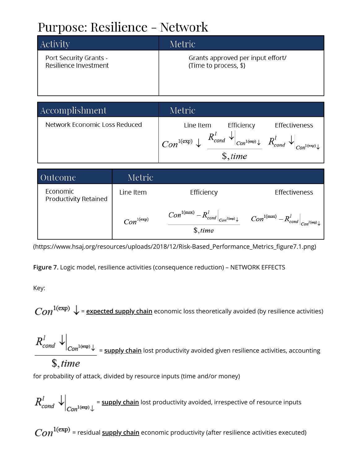### Purpose: Resilience - Network

| Activity               | Metric                            |
|------------------------|-----------------------------------|
| Port Security Grants - | Grants approved per input effort/ |
| Resilience Investment  | (Time to process, \$)             |

| Accomplishment                | Metric                                                                                                                                                                                    |
|-------------------------------|-------------------------------------------------------------------------------------------------------------------------------------------------------------------------------------------|
| Network Economic Loss Reduced | Line Item<br>Efficiency<br>Effectiveness<br>$ Con^{1(\exp)} \downarrow R_{cond}^l \downarrow  _{Con^{1(\exp)} \downarrow R_{cond}^l} \downarrow  _{Con^{1(\exp)} \downarrow}$<br>\$, time |

| Outcome                           | Metric          |                                                                                                                                                                                               |               |
|-----------------------------------|-----------------|-----------------------------------------------------------------------------------------------------------------------------------------------------------------------------------------------|---------------|
| Economic<br>Productivity Retained | Line Item       | Efficiency                                                                                                                                                                                    | Effectiveness |
|                                   | $Con^{1(\exp)}$ | $\left. Con^{1(\max)}-R_{\textit{cond}}^{l}\right _{\textit{Con}^{l(\exp)}\downarrow}\qquad \left. Con^{1(\max)}-R_{\textit{cond}}^{l}\right _{\textit{Con}^{l(\exp)}\downarrow}$<br>\$, time |               |

(https://www.hsaj.org/resources/uploads/2018/12/Risk-Based\_Performance\_Metrics\_figure7.1.png)

**Figure 7.** Logic model, resilience activities (consequence reduction) – NETWORK EFFECTS

Key:

 $Con^{1(\exp)} \downarrow$  = **expected supply chain** economic loss theoretically avoided (by resilience activities)

 $R_{cond}^{l}$   $\downarrow$   $\bigg|_{Con^{1(\exp)}}$  =  $\frac{\text{supply chain}}{\text{min}}$  lost productivity avoided given resilience activities, accounting

#### $\mathcal{S}$ , time

for probability of attack, divided by resource inputs (time and/or money)

 $R_{cond}^l$   $\downarrow$   $\downarrow$   $\downarrow$   $\downarrow$   $\downarrow$   $\downarrow$   $\downarrow$   $\downarrow$   $\downarrow$   $\downarrow$   $\downarrow$   $\downarrow$   $\downarrow$   $\downarrow$   $\downarrow$   $\downarrow$   $\downarrow$   $\downarrow$   $\downarrow$   $\downarrow$   $\downarrow$   $\downarrow$   $\downarrow$   $\downarrow$   $\downarrow$   $\downarrow$   $\downarrow$   $\downarrow$   $\downarrow$   $\downarrow$   $\downarrow$   $\downarrow$   $\downarrow$   $\downarrow$   $\downarrow$   $\$ 

 $Con^{1(\exp)}$  = residual **supply chain** economic productivity (after resilience activities executed)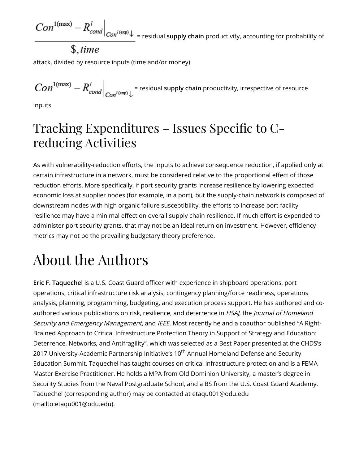$Con^{1(\max)} - R_{cond}^l \Big|_{Con^{l(\exp)} \downarrow \ = \ \text{residual} \ \underline{\text{supply chain}}$  productivity, accounting for probability of

$$
\$
$$
, *time*

attack, divided by resource inputs (time and/or money)

 $Con^{1(\max)} - R_{cond}^l\Big|_{Con^{l(\exp)}\perp}$  = residual <u>supply chain</u> productivity, irrespective of resource

inputs

#### Tracking Expenditures – Issues Specific to Creducing Activities

As with vulnerability-reduction efforts, the inputs to achieve consequence reduction, if applied only at certain infrastructure in a network, must be considered relative to the proportional effect of those reduction efforts. More specifically, if port security grants increase resilience by lowering expected economic loss at supplier nodes (for example, in a port), but the supply-chain network is composed of downstream nodes with high organic failure susceptibility, the efforts to increase port facility resilience may have a minimal effect on overall supply chain resilience. If much effort is expended to administer port security grants, that may not be an ideal return on investment. However, efficiency metrics may not be the prevailing budgetary theory preference.

# About the Authors

**Eric F. Taquechel** is a U.S. Coast Guard officer with experience in shipboard operations, port operations, critical infrastructure risk analysis, contingency planning/force readiness, operations analysis, planning, programming, budgeting, and execution process support. He has authored and coauthored various publications on risk, resilience, and deterrence in HSAJ, the Journal of Homeland Security and Emergency Management, and IEEE. Most recently he and a coauthor published "A Right-Brained Approach to Critical Infrastructure Protection Theory in Support of Strategy and Education: Deterrence, Networks, and Antifragility", which was selected as a Best Paper presented at the CHDS's 2017 University-Academic Partnership Initiative's 10<sup>th</sup> Annual Homeland Defense and Security Education Summit. Taquechel has taught courses on critical infrastructure protection and is a FEMA Master Exercise Practitioner. He holds a MPA from Old Dominion University, a master's degree in Security Studies from the Naval Postgraduate School, and a BS from the U.S. Coast Guard Academy. [Taquechel \(corresponding author\) may be contacted at etaqu001@odu.edu](mailto:etaqu001@odu.edu) (mailto:etaqu001@odu.edu).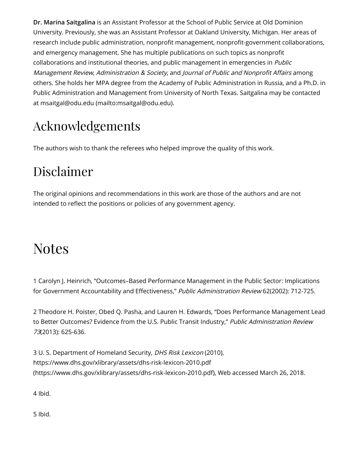**Dr. Marina Saitgalina** is an Assistant Professor at the School of Public Service at Old Dominion University. Previously, she was an Assistant Professor at Oakland University, Michigan. Her areas of research include public administration, nonprofit management, nonprofit-government collaborations, and emergency management. She has multiple publications on such topics as nonprot collaborations and institutional theories, and public management in emergencies in *Public* Management Review, Administration & Society, and Journal of Public and Nonprofit Affairs among others. She holds her MPA degree from the Academy of Public Administration in Russia, and a Ph.D. in Public Administration and Management from University of North Texas. Saitgalina may be contacted at [msaitgal@odu.edu \(mailto:msaitgal@odu.edu\).](mailto:msaitgal@odu.edu)

### Acknowledgements

The authors wish to thank the referees who helped improve the quality of this work.

#### Disclaimer

The original opinions and recommendations in this work are those of the authors and are not intended to reflect the positions or policies of any government agency.

### **Notes**

<span id="page-33-0"></span>[1](#page-2-0) Carolyn J. Heinrich, "Outcomes–Based Performance Management in the Public Sector: Implications for Government Accountability and Effectiveness," Public Administration Review 62(2002): 712-725.

<span id="page-33-1"></span>[2](#page-2-1) Theodore H. Poister, Obed Q. Pasha, and Lauren H. Edwards, "Does Performance Management Lead to Better Outcomes? Evidence from the U.S. Public Transit Industry," Public Administration Review 73(2013): 625-636.

<span id="page-33-2"></span>[3](#page-3-0) U. S. Department of Homeland Security, DHS Risk Lexicon (2010), https://www.dhs.gov/xlibrary/assets/dhs-risk-lexicon-2010.pdf [\(https://www.dhs.gov/xlibrary/assets/dhs-risk-lexicon-2010.pdf\),](https://www.dhs.gov/xlibrary/assets/dhs-risk-lexicon-2010.pdf) Web accessed March 26, 2018.

<span id="page-33-3"></span>[4](#page-3-1) Ibid.

<span id="page-33-4"></span>[5](#page-3-2) Ibid.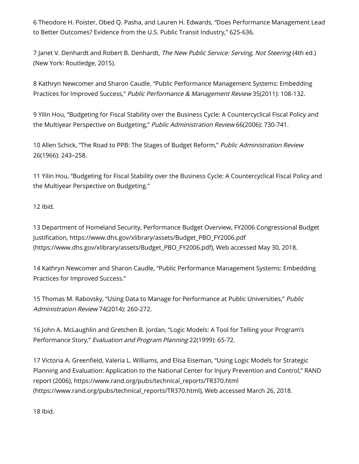<span id="page-34-0"></span>[6](#page-3-3) Theodore H. Poister, Obed Q. Pasha, and Lauren H. Edwards, "Does Performance Management Lead to Better Outcomes? Evidence from the U.S. Public Transit Industry," 625-636.

<span id="page-34-1"></span>[7](#page-3-4) Janet V. Denhardt and Robert B. Denhardt, The New Public Service: Serving, Not Steering (4th ed.) (New York: Routledge, 2015).

<span id="page-34-2"></span>[8](#page-3-5) Kathryn Newcomer and Sharon Caudle, "Public Performance Management Systems: Embedding Practices for Improved Success," Public Performance & Management Review 35(2011): 108-132.

<span id="page-34-3"></span>[9](#page-3-6) Yilin Hou, "Budgeting for Fiscal Stability over the Business Cycle: A Countercyclical Fiscal Policy and the Multiyear Perspective on Budgeting," Public Administration Review 66(2006): 730-741.

<span id="page-34-4"></span>[10](#page-3-7) Allen Schick, "The Road to PPB: The Stages of Budget Reform," Public Administration Review 26(1966): 243–258.

<span id="page-34-5"></span>[11](#page-3-8) Yilin Hou, "Budgeting for Fiscal Stability over the Business Cycle: A Countercyclical Fiscal Policy and the Multiyear Perspective on Budgeting."

<span id="page-34-6"></span>[12](#page-3-9) Ibid.

<span id="page-34-7"></span>[13](#page-3-10) Department of Homeland Security, Performance Budget Overview, FY2006 Congressional Budget [Justication, https://www.dhs.gov/xlibrary/assets/Budget\\_PBO\\_FY2006.pdf](https://www.dhs.gov/xlibrary/assets/Budget_PBO_FY2006.pdf) (https://www.dhs.gov/xlibrary/assets/Budget\_PBO\_FY2006.pdf), Web accessed May 30, 2018.

<span id="page-34-8"></span>[14](#page-4-0) Kathryn Newcomer and Sharon Caudle, "Public Performance Management Systems: Embedding Practices for Improved Success."

<span id="page-34-9"></span>[15](#page-4-1) Thomas M. Rabovsky, "Using Data to Manage for Performance at Public Universities," Public Administration Review 74(2014): 260-272.

<span id="page-34-10"></span>[16](#page-5-0) John A. McLaughlin and Gretchen B. Jordan, "Logic Models: A Tool for Telling your Program's Performance Story," Evaluation and Program Planning 22(1999): 65-72.

<span id="page-34-11"></span>[17](#page-5-1) Victoria A. Greenfield, Valeria L. Williams, and Elisa Eiseman, "Using Logic Models for Strategic Planning and Evaluation: Application to the National Center for Injury Prevention and Control," RAND report (2006), https://www.rand.org/pubs/technical\_reports/TR370.html [\(https://www.rand.org/pubs/technical\\_reports/TR370.html\), Web accesse](https://www.rand.org/pubs/technical_reports/TR370.html)d March 26, 2018.

<span id="page-34-12"></span>[18](#page-5-2) Ibid.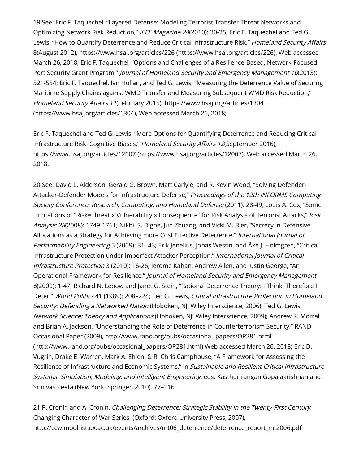<span id="page-35-0"></span>[19](#page-5-3) See: Eric F. Taquechel, "Layered Defense: Modeling Terrorist Transfer Threat Networks and Optimizing Network Risk Reduction," IEEE Magazine 24(2010): 30-35; Eric F. Taquechel and Ted G. Lewis, "How to Quantify Deterrence and Reduce Critical Infrastructure Risk," Homeland Security Affairs 8(August 2012), [https://www.hsaj.org/articles/226 \(https://www.hsaj.org/articles/226\).](https://www.hsaj.org/articles/226) Web accessed March 26, 2018; Eric F. Taquechel, "Options and Challenges of a Resilience-Based, Network-Focused Port Security Grant Program," Journal of Homeland Security and Emergency Management 10(2013): 521-554; Eric F. Taquechel, Ian Hollan, and Ted G. Lewis, "Measuring the Deterrence Value of Securing Maritime Supply Chains against WMD Transfer and Measuring Subsequent WMD Risk Reduction," Homeland Security Affairs 11(February 2015), https://www.hsaj.org/articles/1304 [\(https://www.hsaj.org/articles/1304\), Web accessed March 26, 2018;](https://www.hsaj.org/articles/1304)

Eric F. Taquechel and Ted G. Lewis, "More Options for Quantifying Deterrence and Reducing Critical Infrastructure Risk: Cognitive Biases," Homeland Security Affairs 12(September 2016), [https://www.hsaj.org/articles/12007 \(https://www.hsaj.org/articles/12007\),](https://www.hsaj.org/articles/12007) Web accessed March 26, 2018.

<span id="page-35-1"></span>[20](#page-5-4) See: David L. Alderson, Gerald G. Brown, Matt Carlyle, and R. Kevin Wood, "Solving Defender-Attacker-Defender Models for Infrastructure Defense," Proceedings of the 12th INFORMS Computing Society Conference: Research, Computing, and Homeland Defense (2011): 28-49; Louis A. Cox, "Some Limitations of "Risk=Threat x Vulnerability x Consequence" for Risk Analysis of Terrorist Attacks," Risk Analysis 28(2008): 1749-1761; Nikhil S. Dighe, Jun Zhuang, and Vicki M. Bier, "Secrecy in Defensive Allocations as a Strategy for Achieving more Cost Effective Deterrence," International Journal of Performability Engineering 5 (2009): 31- 43; Erik Jenelius, Jonas Westin, and Åke J. Holmgren, "Critical Infrastructure Protection under Imperfect Attacker Perception," International Journal of Critical Infrastructure Protection 3 (2010): 16-26; Jerome Kahan, Andrew Allen, and Justin George, "An Operational Framework for Resilience," Journal of Homeland Security and Emergency Management 6(2009): 1-47; Richard N. Lebow and Janet G. Stein, "Rational Deterrence Theory: I Think, Therefore I Deter," World Politics 41 (1989): 208-224; Ted G. Lewis, Critical Infrastructure Protection in Homeland Security: Defending a Networked Nation (Hoboken, NJ: Wiley Interscience, 2006); Ted G. Lewis, Network Science: Theory and Applications (Hoboken, NJ: Wiley Interscience, 2009); Andrew R. Morral and Brian A. Jackson, "Understanding the Role of Deterrence in Counterterrorism Security," RAND [Occasional Paper \(2009\), http://www.rand.org/pubs/occasional\\_papers/OP281.html](http://www.rand.org/pubs/occasional_papers/OP281.html) (http://www.rand.org/pubs/occasional\_papers/OP281.html) Web accessed March 26, 2018; Eric D. Vugrin, Drake E. Warren, Mark A. Ehlen, & R. Chris Camphouse, "A Framework for Assessing the Resilience of Infrastructure and Economic Systems," in Sustainable and Resilient Critical Infrastructure Systems: Simulation, Modeling, and Intelligent Engineering, eds. Kasthurirangan Gopalakrishnan and Srinivas Peeta (New York: Springer, 2010), 77–116.

<span id="page-35-2"></span>[21](#page-5-5) P. Cronin and A. Cronin, Challenging Deterrence: Strategic Stability in the Twenty-First Century, Changing Character of War Series, (Oxford: Oxford University Press, 2007), [http://ccw.modhist.ox.ac.uk/events/archives/mt06\\_deterrence/deterrence\\_report\\_mt2006.pdf](http://ccw.modhist.ox.ac.uk/events/archives/mt06_deterrence/deterrence_report_mt2006.pdf)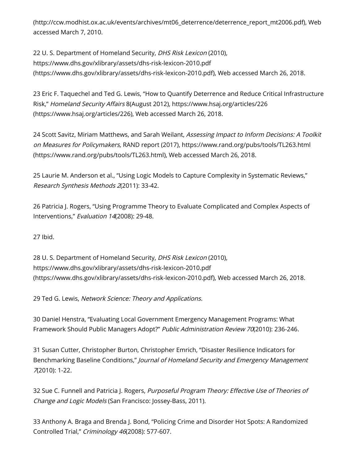[\(http://ccw.modhist.ox.ac.uk/events/archives/mt06\\_deterrence/deterrence\\_report\\_mt2006.pdf\),](http://ccw.modhist.ox.ac.uk/events/archives/mt06_deterrence/deterrence_report_mt2006.pdf) Web accessed March 7, 2010.

<span id="page-36-0"></span>[22](#page-5-6) U. S. Department of Homeland Security, DHS Risk Lexicon (2010), https://www.dhs.gov/xlibrary/assets/dhs-risk-lexicon-2010.pdf [\(https://www.dhs.gov/xlibrary/assets/dhs-risk-lexicon-2010.pdf\),](https://www.dhs.gov/xlibrary/assets/dhs-risk-lexicon-2010.pdf) Web accessed March 26, 2018.

<span id="page-36-1"></span>[23](#page-5-7) Eric F. Taquechel and Ted G. Lewis, "How to Quantify Deterrence and Reduce Critical Infrastructure Risk," Homeland Security Affairs 8(August 2012), https://www.hsaj.org/articles/226 [\(https://www.hsaj.org/articles/226\), Web accessed March 26, 2018.](https://www.hsaj.org/articles/226)

<span id="page-36-2"></span>[24](#page-5-8) Scott Savitz, Miriam Matthews, and Sarah Weilant, Assessing Impact to Inform Decisions: A Toolkit on Measures for Policymakers, RAND report (2017), https://www.rand.org/pubs/tools/TL263.html [\(https://www.rand.org/pubs/tools/TL263.html\), Web accessed March 26, 2018.](https://www.rand.org/pubs/tools/TL263.html)

<span id="page-36-3"></span>[25](#page-6-0) Laurie M. Anderson et al., "Using Logic Models to Capture Complexity in Systematic Reviews," Research Synthesis Methods 2(2011): 33-42.

<span id="page-36-4"></span>[26](#page-6-1) Patricia J. Rogers, "Using Programme Theory to Evaluate Complicated and Complex Aspects of Interventions," Evaluation 14(2008): 29-48.

<span id="page-36-5"></span>[27](#page-6-2) Ibid.

<span id="page-36-6"></span>[28](#page-6-3) U. S. Department of Homeland Security, DHS Risk Lexicon (2010), https://www.dhs.gov/xlibrary/assets/dhs-risk-lexicon-2010.pdf [\(https://www.dhs.gov/xlibrary/assets/dhs-risk-lexicon-2010.pdf\),](https://www.dhs.gov/xlibrary/assets/dhs-risk-lexicon-2010.pdf) Web accessed March 26, 2018.

<span id="page-36-7"></span>[29](#page-6-4) Ted G. Lewis, Network Science: Theory and Applications.

<span id="page-36-8"></span>[30](#page-6-5) Daniel Henstra, "Evaluating Local Government Emergency Management Programs: What Framework Should Public Managers Adopt?" Public Administration Review 70(2010): 236-246.

<span id="page-36-9"></span>[31](#page-6-6) Susan Cutter, Christopher Burton, Christopher Emrich, "Disaster Resilience Indicators for Benchmarking Baseline Conditions," Journal of Homeland Security and Emergency Management 7(2010): 1-22.

<span id="page-36-10"></span>[32](#page-7-0) Sue C. Funnell and Patricia J. Rogers, Purposeful Program Theory: Effective Use of Theories of Change and Logic Models (San Francisco: Jossey-Bass, 2011).

<span id="page-36-11"></span>[33](#page-7-1) Anthony A. Braga and Brenda J. Bond, "Policing Crime and Disorder Hot Spots: A Randomized Controlled Trial," Criminology 46(2008): 577-607.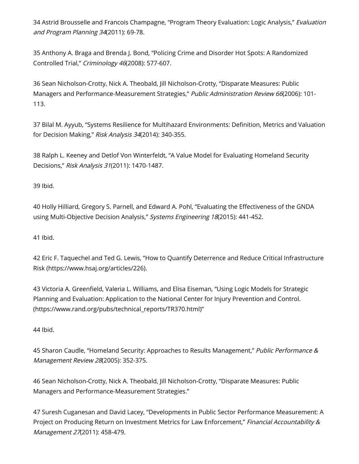<span id="page-37-0"></span>[34](#page-7-2) Astrid Brousselle and Francois Champagne, "Program Theory Evaluation: Logic Analysis," Evaluation and Program Planning 34(2011): 69-78.

<span id="page-37-1"></span>[35](#page-7-3) Anthony A. Braga and Brenda J. Bond, "Policing Crime and Disorder Hot Spots: A Randomized Controlled Trial," Criminology 46(2008): 577-607.

<span id="page-37-2"></span>[36](#page-7-4) Sean Nicholson-Crotty, Nick A. Theobald, Jill Nicholson-Crotty, "Disparate Measures: Public Managers and Performance-Measurement Strategies," Public Administration Review 66(2006): 101-113.

<span id="page-37-3"></span>[37](#page-7-5) Bilal M. Ayyub, "Systems Resilience for Multihazard Environments: Definition, Metrics and Valuation for Decision Making," Risk Analysis 34(2014): 340-355.

<span id="page-37-4"></span>[38](#page-7-6) Ralph L. Keeney and Detlof Von Winterfeldt, "A Value Model for Evaluating Homeland Security Decisions," Risk Analysis 31(2011): 1470-1487.

<span id="page-37-5"></span>[39](#page-7-7) Ibid.

<span id="page-37-6"></span>[40](#page-8-0) Holly Hilliard, Gregory S. Parnell, and Edward A. Pohl, "Evaluating the Effectiveness of the GNDA using Multi-Objective Decision Analysis," Systems Engineering 18(2015): 441-452.

<span id="page-37-7"></span>[41](#page-8-1) Ibid.

<span id="page-37-8"></span>[42 Eric F. Taquechel and Ted G. Lewis, "How to Quantify Deterrence and Reduce Critical Infrastructure](https://www.hsaj.org/articles/226) Risk (https://www.hsaj.org/articles/226).

<span id="page-37-9"></span>43 Victoria A. Greenfield, Valeria L. Williams, and Elisa Eiseman, "Using Logic Models for Strategic Planning and Evaluation: Application to the National Center for Injury Prevention and Control. (https://www.rand.org/pubs/technical\_reports/TR370.html)"

<span id="page-37-10"></span>[44](#page-10-1) Ibid.

<span id="page-37-11"></span>[45](#page-10-2) Sharon Caudle, "Homeland Security: Approaches to Results Management," Public Performance & Management Review 28(2005): 352-375.

<span id="page-37-12"></span>[46](#page-10-3) Sean Nicholson-Crotty, Nick A. Theobald, Jill Nicholson-Crotty, "Disparate Measures: Public Managers and Performance-Measurement Strategies."

<span id="page-37-13"></span>[47](#page-11-0) Suresh Cuganesan and David Lacey, "Developments in Public Sector Performance Measurement: A Project on Producing Return on Investment Metrics for Law Enforcement," Financial Accountability & Management 27(2011): 458-479.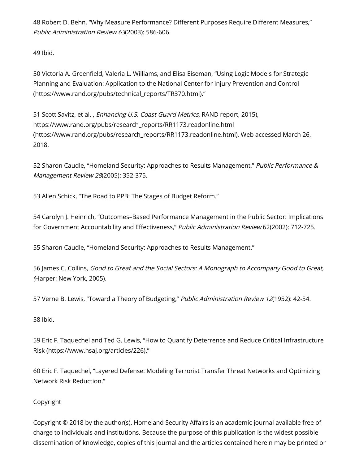<span id="page-38-0"></span>[48](#page-11-1) Robert D. Behn, "Why Measure Performance? Different Purposes Require Different Measures," Public Administration Review 63(2003): 586-606.

<span id="page-38-1"></span>[49](#page-11-2) Ibid.

<span id="page-38-2"></span>50 Victoria A. Greenfield, Valeria L. Williams, and Elisa Eiseman, "Using Logic Models for Strategic Planning and Evaluation: Application to the National Center for Injury Prevention and Control (https://www.rand.org/pubs/technical\_reports/TR370.html)."

<span id="page-38-3"></span>[51](#page-11-4) Scott Savitz, et al., Enhancing U.S. Coast Guard Metrics, RAND report, 2015), https://www.rand.org/pubs/research\_reports/RR1173.readonline.html [\(https://www.rand.org/pubs/research\\_reports/RR1173.readonline.html\),](https://www.rand.org/pubs/research_reports/RR1173.readonline.html) Web accessed March 26, 2018.

<span id="page-38-4"></span>[52](#page-12-0) Sharon Caudle, "Homeland Security: Approaches to Results Management," Public Performance & Management Review 28(2005): 352-375.

<span id="page-38-5"></span>[53](#page-12-1) Allen Schick, "The Road to PPB: The Stages of Budget Reform."

<span id="page-38-6"></span>[54](#page-12-2) Carolyn J. Heinrich, "Outcomes–Based Performance Management in the Public Sector: Implications for Government Accountability and Effectiveness," Public Administration Review 62(2002): 712-725.

<span id="page-38-7"></span>[55](#page-13-0) Sharon Caudle, "Homeland Security: Approaches to Results Management."

<span id="page-38-8"></span>[56](#page-13-1) James C. Collins, Good to Great and the Social Sectors: A Monograph to Accompany Good to Great, (Harper: New York, 2005).

<span id="page-38-9"></span>[57](#page-13-2) Verne B. Lewis, "Toward a Theory of Budgeting," Public Administration Review 12(1952): 42-54.

<span id="page-38-10"></span>[58](#page-13-3) Ibid.

<span id="page-38-11"></span>[59 Eric F. Taquechel and Ted G. Lewis, "How to Quantify Deterrence and Reduce Critical Infrastructure](https://www.hsaj.org/articles/226) Risk (https://www.hsaj.org/articles/226)."

<span id="page-38-12"></span>[60](#page-21-0) Eric F. Taquechel, "Layered Defense: Modeling Terrorist Transfer Threat Networks and Optimizing Network Risk Reduction."

#### Copyright

Copyright © 2018 by the author(s). Homeland Security Affairs is an academic journal available free of charge to individuals and institutions. Because the purpose of this publication is the widest possible dissemination of knowledge, copies of this journal and the articles contained herein may be printed or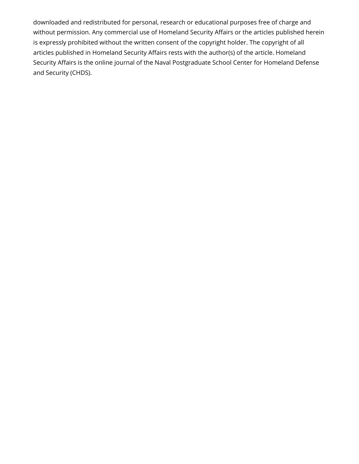downloaded and redistributed for personal, research or educational purposes free of charge and without permission. Any commercial use of Homeland Security Affairs or the articles published herein is expressly prohibited without the written consent of the copyright holder. The copyright of all articles published in Homeland Security Affairs rests with the author(s) of the article. Homeland Security Affairs is the online journal of the Naval Postgraduate School Center for Homeland Defense and Security (CHDS).